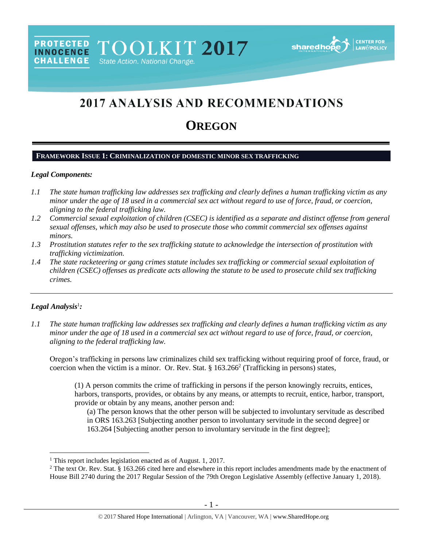# 2017 ANALYSIS AND RECOMMENDATIONS

# **OREGON**

#### **FRAMEWORK ISSUE 1: CRIMINALIZATION OF DOMESTIC MINOR SEX TRAFFICKING**

PROTECTED TOOLKIT 2017

State Action. National Change.

#### *Legal Components:*

**CHALLENGE** 

- *1.1 The state human trafficking law addresses sex trafficking and clearly defines a human trafficking victim as any minor under the age of 18 used in a commercial sex act without regard to use of force, fraud, or coercion, aligning to the federal trafficking law.*
- *1.2 Commercial sexual exploitation of children (CSEC) is identified as a separate and distinct offense from general sexual offenses, which may also be used to prosecute those who commit commercial sex offenses against minors.*
- *1.3 Prostitution statutes refer to the sex trafficking statute to acknowledge the intersection of prostitution with trafficking victimization.*
- *1.4 The state racketeering or gang crimes statute includes sex trafficking or commercial sexual exploitation of children (CSEC) offenses as predicate acts allowing the statute to be used to prosecute child sex trafficking crimes.*

## *Legal Analysis*<sup>1</sup> *:*

 $\overline{a}$ 

*1.1 The state human trafficking law addresses sex trafficking and clearly defines a human trafficking victim as any minor under the age of 18 used in a commercial sex act without regard to use of force, fraud, or coercion, aligning to the federal trafficking law.*

Oregon's trafficking in persons law criminalizes child sex trafficking without requiring proof of force, fraud, or coercion when the victim is a minor. Or. Rev. Stat.  $\S 163.266^2$  (Trafficking in persons) states,

(1) A person commits the crime of trafficking in persons if the person knowingly recruits, entices, harbors, transports, provides, or obtains by any means, or attempts to recruit, entice, harbor, transport, provide or obtain by any means, another person and:

<span id="page-0-0"></span>(a) The person knows that the other person will be subjected to involuntary servitude as described in ORS 163.263 [Subjecting another person to involuntary servitude in the second degree] or 163.264 [Subjecting another person to involuntary servitude in the first degree];

<sup>1</sup> This report includes legislation enacted as of August. 1, 2017.

 $2$  The text Or. Rev. Stat. § 163.266 cited here and elsewhere in this report includes amendments made by the enactment of House Bill 2740 during the 2017 Regular Session of the 79th Oregon Legislative Assembly (effective January 1, 2018).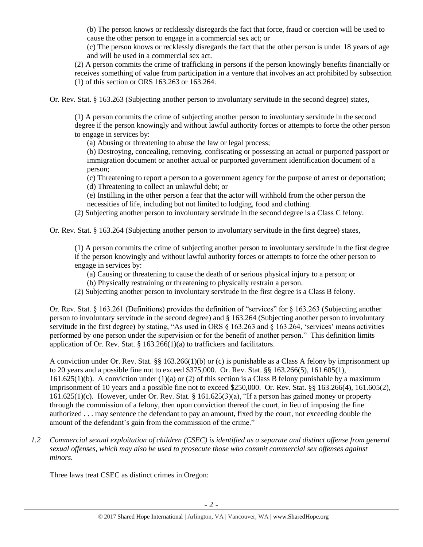(b) The person knows or recklessly disregards the fact that force, fraud or coercion will be used to cause the other person to engage in a commercial sex act; or

(c) The person knows or recklessly disregards the fact that the other person is under 18 years of age and will be used in a commercial sex act.

(2) A person commits the crime of trafficking in persons if the person knowingly benefits financially or receives something of value from participation in a venture that involves an act prohibited by subsection (1) of this section or ORS 163.263 or 163.264.

Or. Rev. Stat. § 163.263 (Subjecting another person to involuntary servitude in the second degree) states,

(1) A person commits the crime of subjecting another person to involuntary servitude in the second degree if the person knowingly and without lawful authority forces or attempts to force the other person to engage in services by:

(a) Abusing or threatening to abuse the law or legal process;

(b) Destroying, concealing, removing, confiscating or possessing an actual or purported passport or immigration document or another actual or purported government identification document of a person;

(c) Threatening to report a person to a government agency for the purpose of arrest or deportation; (d) Threatening to collect an unlawful debt; or

(e) Instilling in the other person a fear that the actor will withhold from the other person the necessities of life, including but not limited to lodging, food and clothing.

(2) Subjecting another person to involuntary servitude in the second degree is a Class C felony.

Or. Rev. Stat. § 163.264 (Subjecting another person to involuntary servitude in the first degree) states,

(1) A person commits the crime of subjecting another person to involuntary servitude in the first degree if the person knowingly and without lawful authority forces or attempts to force the other person to engage in services by:

- (a) Causing or threatening to cause the death of or serious physical injury to a person; or
- (b) Physically restraining or threatening to physically restrain a person.
- (2) Subjecting another person to involuntary servitude in the first degree is a Class B felony.

Or. Rev. Stat. § 163.261 (Definitions) provides the definition of "services" for § 163.263 (Subjecting another person to involuntary servitude in the second degree) and § 163.264 (Subjecting another person to involuntary servitude in the first degree) by stating, "As used in ORS § 163.263 and § 163.264, 'services' means activities performed by one person under the supervision or for the benefit of another person." This definition limits application of Or. Rev. Stat. § 163.266(1)(a) to traffickers and facilitators.

A conviction under Or. Rev. Stat. §§ 163.266(1)(b) or (c) is punishable as a Class A felony by imprisonment up to 20 years and a possible fine not to exceed \$375,000. Or. Rev. Stat. §§ 163.266(5), 161.605(1), 161.625(1)(b). A conviction under (1)(a) or (2) of this section is a Class B felony punishable by a maximum imprisonment of 10 years and a possible fine not to exceed \$250,000. Or. Rev. Stat. §§ 163.266(4), 161.605(2), 161.625(1)(c). However, under Or. Rev. Stat. § 161.625(3)(a), "If a person has gained money or property through the commission of a felony, then upon conviction thereof the court, in lieu of imposing the fine authorized . . . may sentence the defendant to pay an amount, fixed by the court, not exceeding double the amount of the defendant's gain from the commission of the crime."

*1.2 Commercial sexual exploitation of children (CSEC) is identified as a separate and distinct offense from general sexual offenses, which may also be used to prosecute those who commit commercial sex offenses against minors.*

Three laws treat CSEC as distinct crimes in Oregon: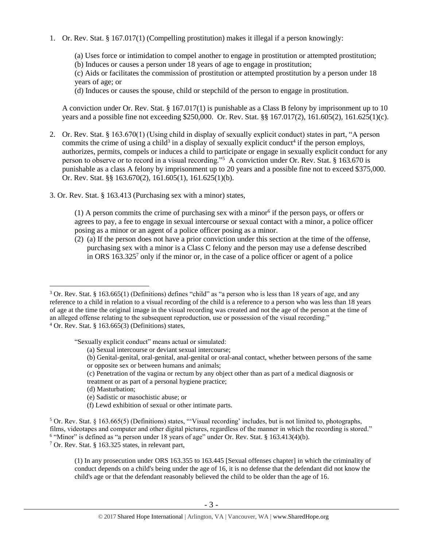1. Or. Rev. Stat. § 167.017(1) (Compelling prostitution) makes it illegal if a person knowingly:

(a) Uses force or intimidation to compel another to engage in prostitution or attempted prostitution;

(b) Induces or causes a person under 18 years of age to engage in prostitution;

(c) Aids or facilitates the commission of prostitution or attempted prostitution by a person under 18 years of age; or

<span id="page-2-3"></span><span id="page-2-1"></span>(d) Induces or causes the spouse, child or stepchild of the person to engage in prostitution.

A conviction under Or. Rev. Stat. § 167.017(1) is punishable as a Class B felony by imprisonment up to 10 years and a possible fine not exceeding \$250,000. Or. Rev. Stat. §§ 167.017(2), 161.605(2), 161.625(1)(c).

- 2. Or. Rev. Stat. § 163.670(1) (Using child in display of sexually explicit conduct) states in part, "A person commits the crime of using a child<sup>3</sup> in a display of sexually explicit conduct<sup>4</sup> if the person employs, authorizes, permits, compels or induces a child to participate or engage in sexually explicit conduct for any person to observe or to record in a visual recording."<sup>5</sup> A conviction under Or. Rev. Stat. § 163.670 is punishable as a class A felony by imprisonment up to 20 years and a possible fine not to exceed \$375,000. Or. Rev. Stat. §§ 163.670(2), 161.605(1), 161.625(1)(b).
- 3. Or. Rev. Stat. § 163.413 (Purchasing sex with a minor) states,

<span id="page-2-2"></span> $(1)$  A person commits the crime of purchasing sex with a minor<sup>6</sup> if the person pays, or offers or agrees to pay, a fee to engage in sexual intercourse or sexual contact with a minor, a police officer posing as a minor or an agent of a police officer posing as a minor.

<span id="page-2-0"></span>(2) (a) If the person does not have a prior conviction under this section at the time of the offense, purchasing sex with a minor is a Class C felony and the person may use a defense described in ORS  $163.325^7$  only if the minor or, in the case of a police officer or agent of a police

"Sexually explicit conduct" means actual or simulated:

- (a) Sexual intercourse or deviant sexual intercourse;
- (b) Genital-genital, oral-genital, anal-genital or oral-anal contact, whether between persons of the same or opposite sex or between humans and animals;
- (c) Penetration of the vagina or rectum by any object other than as part of a medical diagnosis or

treatment or as part of a personal hygiene practice;

(d) Masturbation;

 $\overline{a}$ 

- (e) Sadistic or masochistic abuse; or
- (f) Lewd exhibition of sexual or other intimate parts.

<sup>7</sup> Or. Rev. Stat. § 163.325 states, in relevant part,

(1) In any prosecution under [ORS 163.355](https://a.next.westlaw.com/Link/Document/FullText?findType=L&pubNum=1000534&cite=ORSTS163.355&originatingDoc=NDBCF4B80B52311DB8E46AD894CF6FAAB&refType=LQ&originationContext=document&transitionType=DocumentItem&contextData=(sc.DocLink)) to [163.445](https://a.next.westlaw.com/Link/Document/FullText?findType=L&pubNum=1000534&cite=ORSTS163.445&originatingDoc=NDBCF4B80B52311DB8E46AD894CF6FAAB&refType=LQ&originationContext=document&transitionType=DocumentItem&contextData=(sc.DocLink)) [Sexual offenses chapter] in which the criminality of conduct depends on a child's being under the age of 16, it is no defense that the defendant did not know the child's age or that the defendant reasonably believed the child to be older than the age of 16.

 $3$  Or. Rev. Stat. § 163.665(1) (Definitions) defines "child" as "a person who is less than 18 years of age, and any reference to a child in relation to a visual recording of the child is a reference to a person who was less than 18 years of age at the time the original image in the visual recording was created and not the age of the person at the time of an alleged offense relating to the subsequent reproduction, use or possession of the visual recording."  $4$  Or. Rev. Stat. § 163.665(3) (Definitions) states,

 $5$  Or. Rev. Stat. § 163.665(5) (Definitions) states, "Visual recording' includes, but is not limited to, photographs, films, videotapes and computer and other digital pictures, regardless of the manner in which the recording is stored." <sup>6</sup> "Minor" is defined as "a person under 18 years of age" under Or. Rev. Stat. § 163.413(4)(b).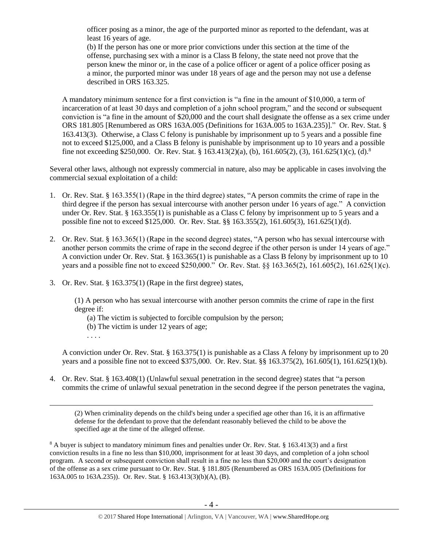officer posing as a minor, the age of the purported minor as reported to the defendant, was at least 16 years of age.

<span id="page-3-0"></span>(b) If the person has one or more prior convictions under this section at the time of the offense, purchasing sex with a minor is a Class B felony, the state need not prove that the person knew the minor or, in the case of a police officer or agent of a police officer posing as a minor, the purported minor was under 18 years of age and the person may not use a defense described in ORS 163.325.

A mandatory minimum sentence for a first conviction is "a fine in the amount of \$10,000, a term of incarceration of at least 30 days and completion of a john school program," and the second or subsequent conviction is "a fine in the amount of \$20,000 and the court shall designate the offense as a sex crime under ORS 181.805 [Renumbered as ORS 163A.005 (Definitions for 163A.005 to 163A.235)]." Or. Rev. Stat. § 163.413(3). Otherwise, a Class C felony is punishable by imprisonment up to 5 years and a possible fine not to exceed \$125,000, and a Class B felony is punishable by imprisonment up to 10 years and a possible fine not exceeding \$250,000. Or. Rev. Stat. § 163.413(2)(a), (b), 161.605(2), (3), 161.625(1)(c), (d).<sup>8</sup>

Several other laws, although not expressly commercial in nature, also may be applicable in cases involving the commercial sexual exploitation of a child:

- 1. Or. Rev. Stat. § 163.355(1) (Rape in the third degree) states, "A person commits the crime of rape in the third degree if the person has sexual intercourse with another person under 16 years of age." A conviction under Or. Rev. Stat. § 163.355(1) is punishable as a Class C felony by imprisonment up to 5 years and a possible fine not to exceed \$125,000. Or. Rev. Stat. §§ 163.355(2), 161.605(3), 161.625(1)(d).
- 2. Or. Rev. Stat. § 163.365(1) (Rape in the second degree) states, "A person who has sexual intercourse with another person commits the crime of rape in the second degree if the other person is under 14 years of age." A conviction under Or. Rev. Stat. § 163.365(1) is punishable as a Class B felony by imprisonment up to 10 years and a possible fine not to exceed \$250,000." Or. Rev. Stat. §§ 163.365(2), 161.605(2), 161.625(1)(c).
- 3. Or. Rev. Stat. § 163.375(1) (Rape in the first degree) states,

(1) A person who has sexual intercourse with another person commits the crime of rape in the first degree if:

- (a) The victim is subjected to forcible compulsion by the person;
- (b) The victim is under 12 years of age;
- . . . .

 $\overline{a}$ 

A conviction under Or. Rev. Stat. § 163.375(1) is punishable as a Class A felony by imprisonment up to 20 years and a possible fine not to exceed \$375,000. Or. Rev. Stat. §§ 163.375(2), 161.605(1), 161.625(1)(b).

4. Or. Rev. Stat. § 163.408(1) (Unlawful sexual penetration in the second degree) states that "a person commits the crime of unlawful sexual penetration in the second degree if the person penetrates the vagina,

(2) When criminality depends on the child's being under a specified age other than 16, it is an affirmative defense for the defendant to prove that the defendant reasonably believed the child to be above the specified age at the time of the alleged offense.

<sup>8</sup> A buyer is subject to mandatory minimum fines and penalties under Or. Rev. Stat. § 163.413(3) and a first conviction results in a fine no less than \$10,000, imprisonment for at least 30 days, and completion of a john school program. A second or subsequent conviction shall result in a fine no less than \$20,000 and the court's designation of the offense as a sex crime pursuant to Or. Rev. Stat. § 181.805 (Renumbered as ORS 163A.005 (Definitions for 163A.005 to 163A.235)). Or. Rev. Stat. § 163.413(3)(b)(A), (B).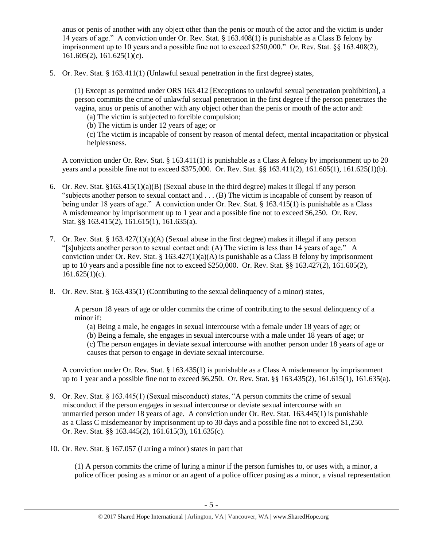anus or penis of another with any object other than the penis or mouth of the actor and the victim is under 14 years of age." A conviction under Or. Rev. Stat. § 163.408(1) is punishable as a Class B felony by imprisonment up to 10 years and a possible fine not to exceed \$250,000." Or. Rev. Stat. §§ 163.408(2), 161.605(2), 161.625(1)(c).

5. Or. Rev. Stat. § 163.411(1) (Unlawful sexual penetration in the first degree) states,

(1) Except as permitted under ORS 163.412 [Exceptions to unlawful sexual penetration prohibition], a person commits the crime of unlawful sexual penetration in the first degree if the person penetrates the vagina, anus or penis of another with any object other than the penis or mouth of the actor and:

- (a) The victim is subjected to forcible compulsion;
- (b) The victim is under 12 years of age; or

(c) The victim is incapable of consent by reason of mental defect, mental incapacitation or physical helplessness.

A conviction under Or. Rev. Stat. § 163.411(1) is punishable as a Class A felony by imprisonment up to 20 years and a possible fine not to exceed \$375,000. Or. Rev. Stat. §§ 163.411(2), 161.605(1), 161.625(1)(b).

- 6. Or. Rev. Stat. §163.415(1)(a)(B) (Sexual abuse in the third degree) makes it illegal if any person "subjects another person to sexual contact and . . . (B) The victim is incapable of consent by reason of being under 18 years of age." A conviction under Or. Rev. Stat. § 163.415(1) is punishable as a Class A misdemeanor by imprisonment up to 1 year and a possible fine not to exceed \$6,250. Or. Rev. Stat. §§ 163.415(2), 161.615(1), 161.635(a).
- 7. Or. Rev. Stat. § 163.427(1)(a)(A) (Sexual abuse in the first degree) makes it illegal if any person "[s]ubjects another person to sexual contact and: (A) The victim is less than 14 years of age." A conviction under Or. Rev. Stat. §  $163.427(1)(a)(A)$  is punishable as a Class B felony by imprisonment up to 10 years and a possible fine not to exceed \$250,000. Or. Rev. Stat. §§ 163.427(2), 161.605(2),  $161.625(1)(c)$ .
- 8. Or. Rev. Stat. § 163.435(1) (Contributing to the sexual delinquency of a minor) states,

A person 18 years of age or older commits the crime of contributing to the sexual delinquency of a minor if:

(a) Being a male, he engages in sexual intercourse with a female under 18 years of age; or

(b) Being a female, she engages in sexual intercourse with a male under 18 years of age; or (c) The person engages in deviate sexual intercourse with another person under 18 years of age or

causes that person to engage in deviate sexual intercourse.

A conviction under Or. Rev. Stat. § 163.435(1) is punishable as a Class A misdemeanor by imprisonment up to 1 year and a possible fine not to exceed \$6,250. Or. Rev. Stat. §§ 163.435(2), 161.615(1), 161.635(a).

- 9. Or. Rev. Stat. § 163.445(1) (Sexual misconduct) states, "A person commits the crime of sexual misconduct if the person engages in sexual intercourse or deviate sexual intercourse with an unmarried person under 18 years of age. A conviction under Or. Rev. Stat. 163.445(1) is punishable as a Class C misdemeanor by imprisonment up to 30 days and a possible fine not to exceed \$1,250. Or. Rev. Stat. §§ 163.445(2), 161.615(3), 161.635(c).
- 10. Or. Rev. Stat. § 167.057 (Luring a minor) states in part that

(1) A person commits the crime of luring a minor if the person furnishes to, or uses with, a minor, a police officer posing as a minor or an agent of a police officer posing as a minor, a visual representation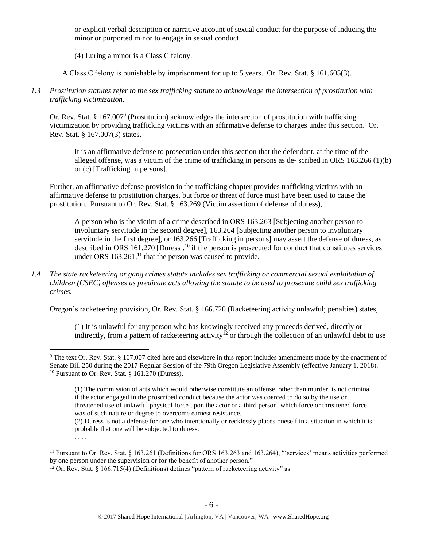or explicit verbal description or narrative account of sexual conduct for the purpose of inducing the minor or purported minor to engage in sexual conduct.

. . . .

(4) Luring a minor is a Class C felony.

A Class C felony is punishable by imprisonment for up to 5 years. Or. Rev. Stat. § 161.605(3).

*1.3 Prostitution statutes refer to the sex trafficking statute to acknowledge the intersection of prostitution with trafficking victimization.* 

Or. Rev. Stat. §  $167.007^9$  (Prostitution) acknowledges the intersection of prostitution with trafficking victimization by providing trafficking victims with an affirmative defense to charges under this section. Or. Rev. Stat. § 167.007(3) states,

<span id="page-5-0"></span>It is an affirmative defense to prosecution under this section that the defendant, at the time of the alleged offense, was a victim of the crime of trafficking in persons as de- scribed in ORS 163.266 (1)(b) or (c) [Trafficking in persons].

Further, an affirmative defense provision in the trafficking chapter provides trafficking victims with an affirmative defense to prostitution charges, but force or threat of force must have been used to cause the prostitution. Pursuant to Or. Rev. Stat. § 163.269 (Victim assertion of defense of duress),

A person who is the victim of a crime described in ORS 163.263 [Subjecting another person to involuntary servitude in the second degree], 163.264 [Subjecting another person to involuntary servitude in the first degree], or 163.266 [Trafficking in persons] may assert the defense of duress, as described in ORS 161.270 [Duress],<sup>10</sup> if the person is prosecuted for conduct that constitutes services under ORS  $163.261$ ,<sup>11</sup> that the person was caused to provide.

*1.4 The state racketeering or gang crimes statute includes sex trafficking or commercial sexual exploitation of children (CSEC) offenses as predicate acts allowing the statute to be used to prosecute child sex trafficking crimes.* 

Oregon's racketeering provision, Or. Rev. Stat. § 166.720 (Racketeering activity unlawful; penalties) states,

(1) It is unlawful for any person who has knowingly received any proceeds derived, directly or indirectly, from a pattern of racketeering activity<sup>12</sup> or through the collection of an unlawful debt to use

(2) Duress is not a defense for one who intentionally or recklessly places oneself in a situation in which it is probable that one will be subjected to duress.

<sup>&</sup>lt;sup>9</sup> The text Or. Rev. Stat. § 167.007 cited here and elsewhere in this report includes amendments made by the enactment of Senate Bill 250 during the 2017 Regular Session of the 79th Oregon Legislative Assembly (effective January 1, 2018). <sup>10</sup> Pursuant to Or. Rev. Stat.  $§$  161.270 (Duress),

<sup>(1)</sup> The commission of acts which would otherwise constitute an offense, other than murder, is not criminal if the actor engaged in the proscribed conduct because the actor was coerced to do so by the use or threatened use of unlawful physical force upon the actor or a third person, which force or threatened force was of such nature or degree to overcome earnest resistance.

<sup>. . . .</sup>

<sup>&</sup>lt;sup>11</sup> Pursuant to Or. Rev. Stat. § 163.261 (Definitions for ORS 163.263 and 163.264), "'services' means activities performed by one person under the supervision or for the benefit of another person."

<sup>&</sup>lt;sup>12</sup> Or. Rev. Stat. § 166.715(4) (Definitions) defines "pattern of racketeering activity" as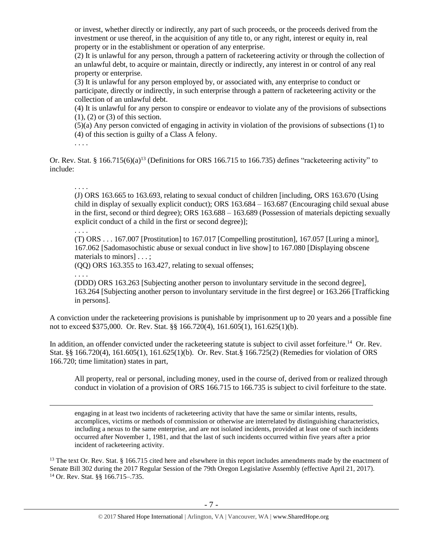or invest, whether directly or indirectly, any part of such proceeds, or the proceeds derived from the investment or use thereof, in the acquisition of any title to, or any right, interest or equity in, real property or in the establishment or operation of any enterprise.

(2) It is unlawful for any person, through a pattern of racketeering activity or through the collection of an unlawful debt, to acquire or maintain, directly or indirectly, any interest in or control of any real property or enterprise.

(3) It is unlawful for any person employed by, or associated with, any enterprise to conduct or participate, directly or indirectly, in such enterprise through a pattern of racketeering activity or the collection of an unlawful debt.

(4) It is unlawful for any person to conspire or endeavor to violate any of the provisions of subsections (1), (2) or (3) of this section.

(5)(a) Any person convicted of engaging in activity in violation of the provisions of subsections (1) to (4) of this section is guilty of a Class A felony.

. . . .

Or. Rev. Stat. § 166.715(6)(a)<sup>13</sup> (Definitions for ORS 166.715 to 166.735) defines "racketeering activity" to include:

## . . . .

(J) ORS 163.665 to 163.693, relating to sexual conduct of children [including, ORS 163.670 (Using child in display of sexually explicit conduct); ORS 163.684 – 163.687 (Encouraging child sexual abuse in the first, second or third degree); ORS 163.688 – 163.689 (Possession of materials depicting sexually explicit conduct of a child in the first or second degree)];

(T) ORS . . . 167.007 [Prostitution] to 167.017 [Compelling prostitution], 167.057 [Luring a minor], 167.062 [Sadomasochistic abuse or sexual conduct in live show] to 167.080 [Displaying obscene materials to minors] . . . ;

(QQ) ORS 163.355 to 163.427, relating to sexual offenses;

. . . .

 $\overline{a}$ 

. . . .

(DDD) ORS 163.263 [Subjecting another person to involuntary servitude in the second degree], 163.264 [Subjecting another person to involuntary servitude in the first degree] or 163.266 [Trafficking in persons].

A conviction under the racketeering provisions is punishable by imprisonment up to 20 years and a possible fine not to exceed \$375,000. Or. Rev. Stat. §§ 166.720(4), 161.605(1), 161.625(1)(b).

In addition, an offender convicted under the racketeering statute is subject to civil asset forfeiture.<sup>14</sup> Or. Rev. Stat. §§ 166.720(4), 161.605(1), 161.625(1)(b). Or. Rev. Stat.§ 166.725(2) (Remedies for violation of ORS 166.720; time limitation) states in part,

All property, real or personal, including money, used in the course of, derived from or realized through conduct in violation of a provision of ORS 166.715 to 166.735 is subject to civil forfeiture to the state.

engaging in at least two incidents of racketeering activity that have the same or similar intents, results, accomplices, victims or methods of commission or otherwise are interrelated by distinguishing characteristics, including a nexus to the same enterprise, and are not isolated incidents, provided at least one of such incidents occurred after November 1, 1981, and that the last of such incidents occurred within five years after a prior incident of racketeering activity.

 $13$  The text Or. Rev. Stat. § 166.715 cited here and elsewhere in this report includes amendments made by the enactment of Senate Bill 302 during the 2017 Regular Session of the 79th Oregon Legislative Assembly (effective April 21, 2017). <sup>14</sup> Or. Rev. Stat. §§ 166.715–.735.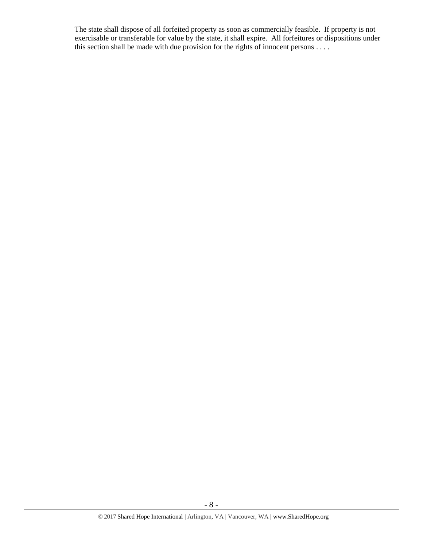The state shall dispose of all forfeited property as soon as commercially feasible. If property is not exercisable or transferable for value by the state, it shall expire. All forfeitures or dispositions under this section shall be made with due provision for the rights of innocent persons  $\dots$ 

- 8 -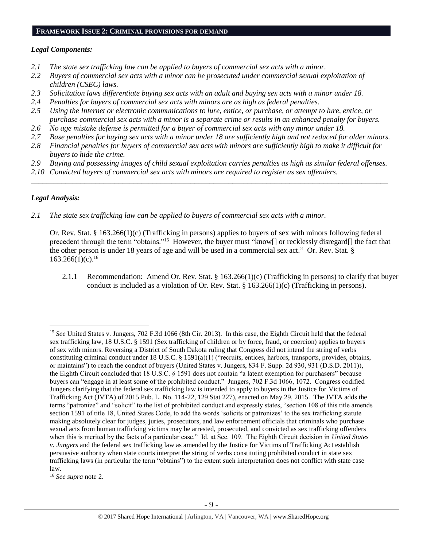#### **FRAMEWORK ISSUE 2: CRIMINAL PROVISIONS FOR DEMAND**

#### *Legal Components:*

- *2.1 The state sex trafficking law can be applied to buyers of commercial sex acts with a minor.*
- *2.2 Buyers of commercial sex acts with a minor can be prosecuted under commercial sexual exploitation of children (CSEC) laws.*
- *2.3 Solicitation laws differentiate buying sex acts with an adult and buying sex acts with a minor under 18.*
- *2.4 Penalties for buyers of commercial sex acts with minors are as high as federal penalties.*
- *2.5 Using the Internet or electronic communications to lure, entice, or purchase, or attempt to lure, entice, or purchase commercial sex acts with a minor is a separate crime or results in an enhanced penalty for buyers.*
- *2.6 No age mistake defense is permitted for a buyer of commercial sex acts with any minor under 18.*
- *2.7 Base penalties for buying sex acts with a minor under 18 are sufficiently high and not reduced for older minors.*
- *2.8 Financial penalties for buyers of commercial sex acts with minors are sufficiently high to make it difficult for buyers to hide the crime.*
- *2.9 Buying and possessing images of child sexual exploitation carries penalties as high as similar federal offenses.*

\_\_\_\_\_\_\_\_\_\_\_\_\_\_\_\_\_\_\_\_\_\_\_\_\_\_\_\_\_\_\_\_\_\_\_\_\_\_\_\_\_\_\_\_\_\_\_\_\_\_\_\_\_\_\_\_\_\_\_\_\_\_\_\_\_\_\_\_\_\_\_\_\_\_\_\_\_\_\_\_\_\_\_\_\_\_\_\_\_\_\_\_\_\_

*2.10 Convicted buyers of commercial sex acts with minors are required to register as sex offenders.* 

## *Legal Analysis:*

*2.1 The state sex trafficking law can be applied to buyers of commercial sex acts with a minor.*

Or. Rev. Stat. § 163.266(1)(c) (Trafficking in persons) applies to buyers of sex with minors following federal precedent through the term "obtains."<sup>15</sup> However, the buyer must "know[] or recklessly disregard[] the fact that the other person is under 18 years of age and will be used in a commercial sex act." Or. Rev. Stat. §  $163.266(1)(c).$ <sup>16</sup>

2.1.1 Recommendation: Amend Or. Rev. Stat. § 163.266(1)(c) (Trafficking in persons) to clarify that buyer conduct is included as a violation of Or. Rev. Stat.  $\S 163.266(1)(c)$  (Trafficking in persons).

 $\overline{a}$ <sup>15</sup> *See* United States v. Jungers, 702 F.3d 1066 (8th Cir. 2013). In this case, the Eighth Circuit held that the federal sex trafficking law, 18 U.S.C. § 1591 (Sex trafficking of children or by force, fraud, or coercion) applies to buyers of sex with minors. Reversing a District of South Dakota ruling that Congress did not intend the string of verbs constituting criminal conduct under 18 U.S.C. § 1591(a)(1) ("recruits, entices, harbors, transports, provides, obtains, or maintains") to reach the conduct of buyers (United States v. Jungers, 834 F. Supp. 2d 930, 931 (D.S.D. 2011)), the Eighth Circuit concluded that 18 U.S.C. § 1591 does not contain "a latent exemption for purchasers" because buyers can "engage in at least some of the prohibited conduct." Jungers, 702 F.3d 1066, 1072. Congress codified Jungers clarifying that the federal sex trafficking law is intended to apply to buyers in the Justice for Victims of Trafficking Act (JVTA) of 2015 Pub. L. No. 114-22, 129 Stat 227), enacted on May 29, 2015. The JVTA adds the terms "patronize" and "solicit" to the list of prohibited conduct and expressly states, "section 108 of this title amends section 1591 of title 18, United States Code, to add the words 'solicits or patronizes' to the sex trafficking statute making absolutely clear for judges, juries, prosecutors, and law enforcement officials that criminals who purchase sexual acts from human trafficking victims may be arrested, prosecuted, and convicted as sex trafficking offenders when this is merited by the facts of a particular case." Id. at Sec. 109. The Eighth Circuit decision in *United States v. Jungers* and the federal sex trafficking law as amended by the Justice for Victims of Trafficking Act establish persuasive authority when state courts interpret the string of verbs constituting prohibited conduct in state sex trafficking laws (in particular the term "obtains") to the extent such interpretation does not conflict with state case law.

<sup>16</sup> *See supra* note [2.](#page-0-0)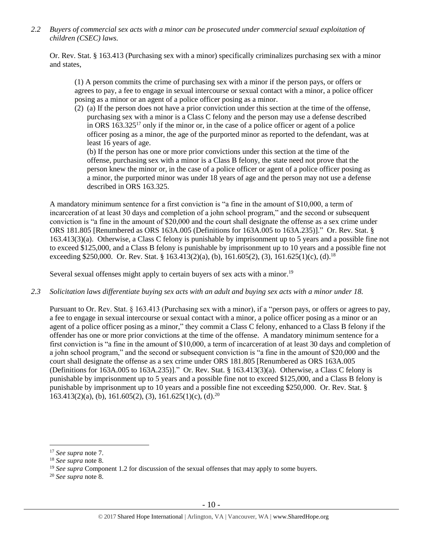*2.2 Buyers of commercial sex acts with a minor can be prosecuted under commercial sexual exploitation of children (CSEC) laws.*

Or. Rev. Stat. § 163.413 (Purchasing sex with a minor) specifically criminalizes purchasing sex with a minor and states,

(1) A person commits the crime of purchasing sex with a minor if the person pays, or offers or agrees to pay, a fee to engage in sexual intercourse or sexual contact with a minor, a police officer posing as a minor or an agent of a police officer posing as a minor.

(2) (a) If the person does not have a prior conviction under this section at the time of the offense, purchasing sex with a minor is a Class C felony and the person may use a defense described in ORS  $163.325^{17}$  only if the minor or, in the case of a police officer or agent of a police officer posing as a minor, the age of the purported minor as reported to the defendant, was at least 16 years of age.

(b) If the person has one or more prior convictions under this section at the time of the offense, purchasing sex with a minor is a Class B felony, the state need not prove that the person knew the minor or, in the case of a police officer or agent of a police officer posing as a minor, the purported minor was under 18 years of age and the person may not use a defense described in ORS 163.325.

A mandatory minimum sentence for a first conviction is "a fine in the amount of \$10,000, a term of incarceration of at least 30 days and completion of a john school program," and the second or subsequent conviction is "a fine in the amount of \$20,000 and the court shall designate the offense as a sex crime under ORS 181.805 [Renumbered as ORS 163A.005 (Definitions for 163A.005 to 163A.235)]." Or. Rev. Stat. § 163.413(3)(a). Otherwise, a Class C felony is punishable by imprisonment up to 5 years and a possible fine not to exceed \$125,000, and a Class B felony is punishable by imprisonment up to 10 years and a possible fine not exceeding \$250,000. Or. Rev. Stat. § 163.413(2)(a), (b), 161.605(2), (3), 161.625(1)(c), (d).<sup>18</sup>

Several sexual offenses might apply to certain buyers of sex acts with a minor.<sup>19</sup>

*2.3 Solicitation laws differentiate buying sex acts with an adult and buying sex acts with a minor under 18.*

Pursuant to Or. Rev. Stat. § 163.413 (Purchasing sex with a minor), if a "person pays, or offers or agrees to pay, a fee to engage in sexual intercourse or sexual contact with a minor, a police officer posing as a minor or an agent of a police officer posing as a minor," they commit a Class C felony, enhanced to a Class B felony if the offender has one or more prior convictions at the time of the offense. A mandatory minimum sentence for a first conviction is "a fine in the amount of \$10,000, a term of incarceration of at least 30 days and completion of a john school program," and the second or subsequent conviction is "a fine in the amount of \$20,000 and the court shall designate the offense as a sex crime under ORS 181.805 [Renumbered as ORS 163A.005 (Definitions for 163A.005 to 163A.235)]." Or. Rev. Stat. § 163.413(3)(a). Otherwise, a Class C felony is punishable by imprisonment up to 5 years and a possible fine not to exceed \$125,000, and a Class B felony is punishable by imprisonment up to 10 years and a possible fine not exceeding \$250,000. Or. Rev. Stat. §  $163.413(2)(a)$ , (b),  $161.605(2)$ , (3),  $161.625(1)(c)$ , (d).<sup>20</sup>

 $\overline{a}$ 

<sup>20</sup> *See supra* note [8.](#page-3-0)

<sup>17</sup> *See supra* note [7.](#page-2-0)

<sup>18</sup> *See supra* note [8.](#page-3-0)

<sup>19</sup> *See supra* Component 1.2 for discussion of the sexual offenses that may apply to some buyers.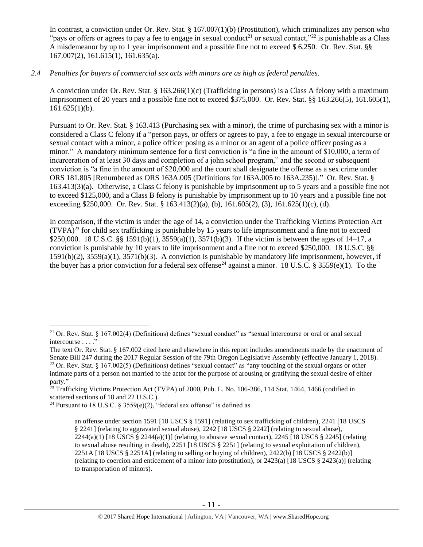In contrast, a conviction under Or. Rev. Stat. § 167.007(1)(b) (Prostitution), which criminalizes any person who "pays or offers or agrees to pay a fee to engage in sexual conduct<sup>21</sup> or sexual contact,"<sup>22</sup> is punishable as a Class A misdemeanor by up to 1 year imprisonment and a possible fine not to exceed \$ 6,250. Or. Rev. Stat. §§ 167.007(2), 161.615(1), 161.635(a).

## *2.4 Penalties for buyers of commercial sex acts with minors are as high as federal penalties.*

A conviction under Or. Rev. Stat. § 163.266(1)(c) (Trafficking in persons) is a Class A felony with a maximum imprisonment of 20 years and a possible fine not to exceed \$375,000. Or. Rev. Stat. §§ 163.266(5), 161.605(1),  $161.625(1)(b)$ .

Pursuant to Or. Rev. Stat. § 163.413 (Purchasing sex with a minor), the crime of purchasing sex with a minor is considered a Class C felony if a "person pays, or offers or agrees to pay, a fee to engage in sexual intercourse or sexual contact with a minor, a police officer posing as a minor or an agent of a police officer posing as a minor." A mandatory minimum sentence for a first conviction is "a fine in the amount of \$10,000, a term of incarceration of at least 30 days and completion of a john school program," and the second or subsequent conviction is "a fine in the amount of \$20,000 and the court shall designate the offense as a sex crime under ORS 181.805 [Renumbered as ORS 163A.005 (Definitions for 163A.005 to 163A.235)]." Or. Rev. Stat. § 163.413(3)(a). Otherwise, a Class C felony is punishable by imprisonment up to 5 years and a possible fine not to exceed \$125,000, and a Class B felony is punishable by imprisonment up to 10 years and a possible fine not exceeding \$250,000. Or. Rev. Stat. § 163.413(2)(a), (b), 161.605(2), (3), 161.625(1)(c), (d).

<span id="page-10-1"></span><span id="page-10-0"></span>In comparison, if the victim is under the age of 14, a conviction under the Trafficking Victims Protection Act  $(TVPA)<sup>23</sup>$  for child sex trafficking is punishable by 15 years to life imprisonment and a fine not to exceed \$250,000. 18 U.S.C. §§ 1591(b)(1), 3559(a)(1), 3571(b)(3). If the victim is between the ages of 14–17, a conviction is punishable by 10 years to life imprisonment and a fine not to exceed \$250,000. 18 U.S.C. §§ 1591(b)(2), 3559(a)(1), 3571(b)(3). A conviction is punishable by mandatory life imprisonment, however, if the buyer has a prior conviction for a federal sex offense<sup>24</sup> against a minor. 18 U.S.C. § 3559(e)(1). To the

<sup>&</sup>lt;sup>21</sup> Or. Rev. Stat. § 167.002(4) (Definitions) defines "sexual conduct" as "sexual intercourse or oral or anal sexual intercourse . . . ."

The text Or. Rev. Stat. § 167.002 cited here and elsewhere in this report includes amendments made by the enactment of Senate Bill 247 during the 2017 Regular Session of the 79th Oregon Legislative Assembly (effective January 1, 2018). <sup>22</sup> Or. Rev. Stat. § 167.002(5) (Definitions) defines "sexual contact" as "any touching of the sexual organs or other intimate parts of a person not married to the actor for the purpose of arousing or gratifying the sexual desire of either party."

 $^{23}$  Trafficking Victims Protection Act (TVPA) of 2000, Pub. L. No. 106-386, 114 Stat. 1464, 1466 (codified in scattered sections of 18 and 22 U.S.C.).

<sup>&</sup>lt;sup>24</sup> Pursuant to 18 U.S.C. § 3559(e)(2), "federal sex offense" is defined as

an offense under section 1591 [18 USCS § 1591] (relating to sex trafficking of children), 2241 [18 USCS § 2241] (relating to aggravated sexual abuse), 2242 [18 USCS § 2242] (relating to sexual abuse),  $2244(a)(1)$  [18 USCS § 2244(a)(1)] (relating to abusive sexual contact), 2245 [18 USCS § 2245] (relating to sexual abuse resulting in death), 2251 [18 USCS § 2251] (relating to sexual exploitation of children), 2251A [18 USCS § 2251A] (relating to selling or buying of children), 2422(b) [18 USCS § 2422(b)] (relating to coercion and enticement of a minor into prostitution), or 2423(a) [18 USCS § 2423(a)] (relating to transportation of minors).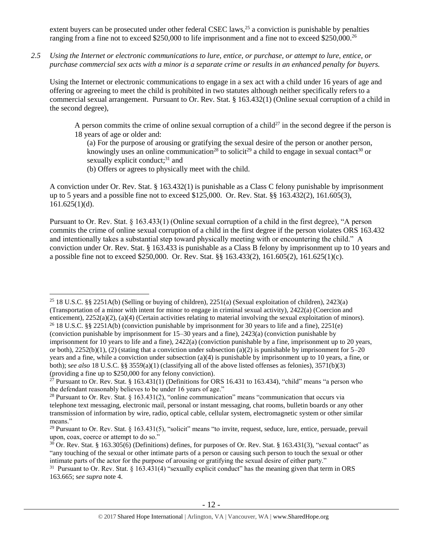extent buyers can be prosecuted under other federal CSEC laws,<sup>25</sup> a conviction is punishable by penalties ranging from a fine not to exceed \$250,000 to life imprisonment and a fine not to exceed \$250,000.<sup>26</sup>

*2.5 Using the Internet or electronic communications to lure, entice, or purchase, or attempt to lure, entice, or purchase commercial sex acts with a minor is a separate crime or results in an enhanced penalty for buyers.*

Using the Internet or electronic communications to engage in a sex act with a child under 16 years of age and offering or agreeing to meet the child is prohibited in two statutes although neither specifically refers to a commercial sexual arrangement. Pursuant to Or. Rev. Stat. § 163.432(1) (Online sexual corruption of a child in the second degree),

A person commits the crime of online sexual corruption of a child<sup>27</sup> in the second degree if the person is 18 years of age or older and:

<span id="page-11-0"></span>(a) For the purpose of arousing or gratifying the sexual desire of the person or another person, knowingly uses an online communication<sup>28</sup> to solicit<sup>29</sup> a child to engage in sexual contact<sup>30</sup> or sexually explicit conduct; $31$  and

<span id="page-11-4"></span><span id="page-11-3"></span><span id="page-11-2"></span><span id="page-11-1"></span>(b) Offers or agrees to physically meet with the child.

 $\overline{a}$ 

A conviction under Or. Rev. Stat. § 163.432(1) is punishable as a Class C felony punishable by imprisonment up to 5 years and a possible fine not to exceed \$125,000. Or. Rev. Stat. §§ 163.432(2), 161.605(3),  $161.625(1)(d)$ .

Pursuant to Or. Rev. Stat. § 163.433(1) (Online sexual corruption of a child in the first degree), "A person commits the crime of online sexual corruption of a child in the first degree if the person violates ORS 163.432 and intentionally takes a substantial step toward physically meeting with or encountering the child." A conviction under Or. Rev. Stat. § 163.433 is punishable as a Class B felony by imprisonment up to 10 years and a possible fine not to exceed \$250,000. Or. Rev. Stat. §§ 163.433(2), 161.605(2), 161.625(1)(c).

<sup>25</sup> 18 U.S.C. §§ 2251A(b) (Selling or buying of children), 2251(a) (Sexual exploitation of children), 2423(a) (Transportation of a minor with intent for minor to engage in criminal sexual activity), 2422(a) (Coercion and enticement), 2252(a)(2), (a)(4) (Certain activities relating to material involving the sexual exploitation of minors). <sup>26</sup> 18 U.S.C. §§ 2251A(b) (conviction punishable by imprisonment for 30 years to life and a fine), 2251(e)

<sup>(</sup>conviction punishable by imprisonment for 15–30 years and a fine), 2423(a) (conviction punishable by imprisonment for 10 years to life and a fine), 2422(a) (conviction punishable by a fine, imprisonment up to 20 years, or both),  $2252(b)(1)$ , (2) (stating that a conviction under subsection (a)(2) is punishable by imprisonment for  $5-20$ years and a fine, while a conviction under subsection (a)(4) is punishable by imprisonment up to 10 years, a fine, or both); s*ee also* 18 U.S.C. §§ 3559(a)(1) (classifying all of the above listed offenses as felonies), 3571(b)(3) (providing a fine up to \$250,000 for any felony conviction).

 $^{27}$  Pursuant to Or. Rev. Stat. § 163.431(1) (Definitions for ORS 16.431 to 163.434), "child" means "a person who the defendant reasonably believes to be under 16 years of age."

<sup>28</sup> Pursuant to Or. Rev. Stat. § 163.431(2), "online communication" means "communication that occurs via telephone text messaging, electronic mail, personal or instant messaging, chat rooms, bulletin boards or any other transmission of information by wire, radio, optical cable, cellular system, electromagnetic system or other similar means."

 $29$  Pursuant to Or. Rev. Stat. § 163.431(5), "solicit" means "to invite, request, seduce, lure, entice, persuade, prevail upon, coax, coerce or attempt to do so."

 $30$  Or. Rev. Stat. § 163.305(6) (Definitions) defines, for purposes of Or. Rev. Stat. § 163.431(3), "sexual contact" as "any touching of the sexual or other intimate parts of a person or causing such person to touch the sexual or other intimate parts of the actor for the purpose of arousing or gratifying the sexual desire of either party."

<sup>31</sup> Pursuant to Or. Rev. Stat. § 163.431(4) "sexually explicit conduct" has the meaning given that term in ORS 163.665; s*ee supra* note [4.](#page-2-1)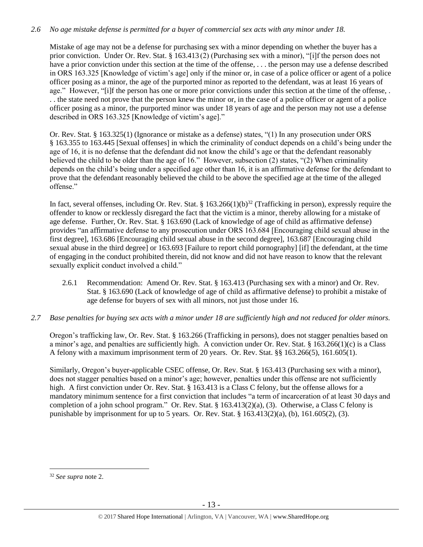# *2.6 No age mistake defense is permitted for a buyer of commercial sex acts with any minor under 18.*

Mistake of age may not be a defense for purchasing sex with a minor depending on whether the buyer has a prior conviction. Under Or. Rev. Stat. § 163.413 (2) (Purchasing sex with a minor), "[i]f the person does not have a prior conviction under this section at the time of the offense, ... the person may use a defense described in ORS 163.325 [Knowledge of victim's age] only if the minor or, in case of a police officer or agent of a police officer posing as a minor, the age of the purported minor as reported to the defendant, was at least 16 years of age." However, "[i]f the person has one or more prior convictions under this section at the time of the offense, . . . the state need not prove that the person knew the minor or, in the case of a police officer or agent of a police officer posing as a minor, the purported minor was under 18 years of age and the person may not use a defense described in ORS 163.325 [Knowledge of victim's age]."

Or. Rev. Stat. § 163.325(1) (Ignorance or mistake as a defense) states, "(1) In any prosecution under ORS § 163.355 to 163.445 [Sexual offenses] in which the criminality of conduct depends on a child's being under the age of 16, it is no defense that the defendant did not know the child's age or that the defendant reasonably believed the child to be older than the age of 16." However, subsection (2) states, "(2) When criminality depends on the child's being under a specified age other than 16, it is an affirmative defense for the defendant to prove that the defendant reasonably believed the child to be above the specified age at the time of the alleged offense."

In fact, several offenses, including Or. Rev. Stat. § 163.266(1)(b)<sup>32</sup> (Trafficking in person), expressly require the offender to know or recklessly disregard the fact that the victim is a minor, thereby allowing for a mistake of age defense. Further, Or. Rev. Stat. § 163.690 (Lack of knowledge of age of child as affirmative defense) provides "an affirmative defense to any prosecution under ORS 163.684 [Encouraging child sexual abuse in the first degree], 163.686 [Encouraging child sexual abuse in the second degree], 163.687 [Encouraging child sexual abuse in the third degree] or 163.693 [Failure to report child pornography] [if] the defendant, at the time of engaging in the conduct prohibited therein, did not know and did not have reason to know that the relevant sexually explicit conduct involved a child."

- 2.6.1 Recommendation: Amend Or. Rev. Stat. § 163.413 (Purchasing sex with a minor) and Or. Rev. Stat. § 163.690 (Lack of knowledge of age of child as affirmative defense) to prohibit a mistake of age defense for buyers of sex with all minors, not just those under 16.
- *2.7 Base penalties for buying sex acts with a minor under 18 are sufficiently high and not reduced for older minors.*

Oregon's trafficking law, Or. Rev. Stat. § 163.266 (Trafficking in persons), does not stagger penalties based on a minor's age, and penalties are sufficiently high. A conviction under Or. Rev. Stat. § 163.266(1)(c) is a Class A felony with a maximum imprisonment term of 20 years. Or. Rev. Stat. §§ 163.266(5), 161.605(1).

Similarly, Oregon's buyer-applicable CSEC offense, Or. Rev. Stat. § 163.413 (Purchasing sex with a minor), does not stagger penalties based on a minor's age; however, penalties under this offense are not sufficiently high. A first conviction under Or. Rev. Stat. § 163.413 is a Class C felony, but the offense allows for a mandatory minimum sentence for a first conviction that includes "a term of incarceration of at least 30 days and completion of a john school program." Or. Rev. Stat. § 163.413(2)(a), (3). Otherwise, a Class C felony is punishable by imprisonment for up to 5 years. Or. Rev. Stat. §  $163.413(2)(a)$ , (b),  $161.605(2)$ , (3).

<sup>32</sup> *See supra* note [2.](#page-0-0)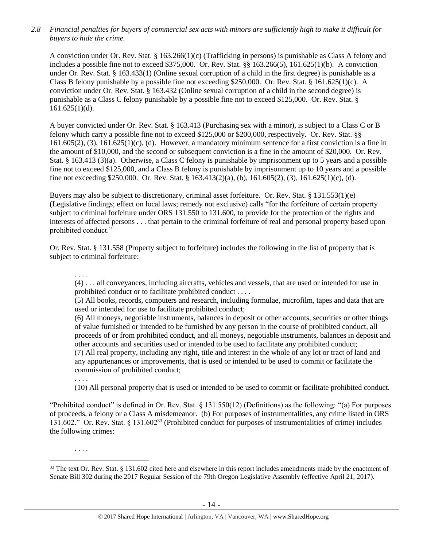*2.8 Financial penalties for buyers of commercial sex acts with minors are sufficiently high to make it difficult for buyers to hide the crime.* 

A conviction under Or. Rev. Stat. § 163.266(1)(c) (Trafficking in persons) is punishable as Class A felony and includes a possible fine not to exceed \$375,000. Or. Rev. Stat. §§ 163.266(5), 161.625(1)(b). A conviction under Or. Rev. Stat. § 163.433(1) (Online sexual corruption of a child in the first degree) is punishable as a Class B felony punishable by a possible fine not exceeding \$250,000. Or. Rev. Stat. § 161.625(1)(c). A conviction under Or. Rev. Stat. § 163.432 (Online sexual corruption of a child in the second degree) is punishable as a Class C felony punishable by a possible fine not to exceed \$125,000. Or. Rev. Stat. § 161.625(1)(d).

A buyer convicted under Or. Rev. Stat. § 163.413 (Purchasing sex with a minor), is subject to a Class C or B felony which carry a possible fine not to exceed \$125,000 or \$200,000, respectively. Or. Rev. Stat. §§  $161.605(2)$ , (3),  $161.625(1)(c)$ , (d). However, a mandatory minimum sentence for a first conviction is a fine in the amount of \$10,000, and the second or subsequent conviction is a fine in the amount of \$20,000. Or. Rev. Stat. § 163.413 (3)(a). Otherwise, a Class C felony is punishable by imprisonment up to 5 years and a possible fine not to exceed \$125,000, and a Class B felony is punishable by imprisonment up to 10 years and a possible fine not exceeding \$250,000. Or. Rev. Stat. § 163.413(2)(a), (b), 161.605(2), (3), 161.625(1)(c), (d).

Buyers may also be subject to discretionary, criminal asset forfeiture. Or. Rev. Stat. § 131.553(1)(e) (Legislative findings; effect on local laws; remedy not exclusive) calls "for the forfeiture of certain property subject to criminal forfeiture under ORS 131.550 to 131.600, to provide for the protection of the rights and interests of affected persons . . . that pertain to the criminal forfeiture of real and personal property based upon prohibited conduct."

Or. Rev. Stat. § 131.558 (Property subject to forfeiture) includes the following in the list of property that is subject to criminal forfeiture:

. . . .

(4) . . . all conveyances, including aircrafts, vehicles and vessels, that are used or intended for use in prohibited conduct or to facilitate prohibited conduct . . . .

(5) All books, records, computers and research, including formulae, microfilm, tapes and data that are used or intended for use to facilitate prohibited conduct;

(6) All moneys, negotiable instruments, balances in deposit or other accounts, securities or other things of value furnished or intended to be furnished by any person in the course of prohibited conduct, all proceeds of or from prohibited conduct, and all moneys, negotiable instruments, balances in deposit and other accounts and securities used or intended to be used to facilitate any prohibited conduct; (7) All real property, including any right, title and interest in the whole of any lot or tract of land and any appurtenances or improvements, that is used or intended to be used to commit or facilitate the commission of prohibited conduct;

. . . .

<span id="page-13-0"></span>. . . .

(10) All personal property that is used or intended to be used to commit or facilitate prohibited conduct.

"Prohibited conduct" is defined in Or. Rev. Stat. § 131.550(12) (Definitions) as the following: "(a) For purposes of proceeds, a felony or a Class A misdemeanor. (b) For purposes of instrumentalities, any crime listed in ORS 131.602." Or. Rev. Stat. § 131.602<sup>33</sup> (Prohibited conduct for purposes of instrumentalities of crime) includes the following crimes:

 $\overline{a}$ <sup>33</sup> The text Or. Rev. Stat. § 131.602 cited here and elsewhere in this report includes amendments made by the enactment of Senate Bill 302 during the 2017 Regular Session of the 79th Oregon Legislative Assembly (effective April 21, 2017).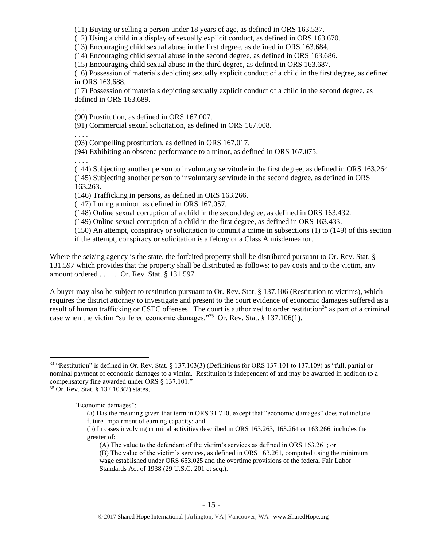(11) Buying or selling a person under 18 years of age, as defined in ORS 163.537.

(12) Using a child in a display of sexually explicit conduct, as defined in ORS 163.670.

(13) Encouraging child sexual abuse in the first degree, as defined in ORS 163.684.

(14) Encouraging child sexual abuse in the second degree, as defined in ORS 163.686.

(15) Encouraging child sexual abuse in the third degree, as defined in ORS 163.687.

(16) Possession of materials depicting sexually explicit conduct of a child in the first degree, as defined in ORS 163.688.

(17) Possession of materials depicting sexually explicit conduct of a child in the second degree, as defined in ORS 163.689.

. . . .

. . . .

(90) Prostitution, as defined in ORS 167.007.

(91) Commercial sexual solicitation, as defined in ORS 167.008.

(93) Compelling prostitution, as defined in ORS 167.017.

(94) Exhibiting an obscene performance to a minor, as defined in ORS 167.075.

. . . .

(144) Subjecting another person to involuntary servitude in the first degree, as defined in ORS 163.264. (145) Subjecting another person to involuntary servitude in the second degree, as defined in ORS 163.263.

(146) Trafficking in persons, as defined in ORS 163.266.

(147) Luring a minor, as defined in ORS 167.057.

(148) Online sexual corruption of a child in the second degree, as defined in ORS 163.432.

(149) Online sexual corruption of a child in the first degree, as defined in ORS 163.433.

<span id="page-14-0"></span>(150) An attempt, conspiracy or solicitation to commit a crime in subsections (1) to (149) of this section if the attempt, conspiracy or solicitation is a felony or a Class A misdemeanor.

Where the seizing agency is the state, the forfeited property shall be distributed pursuant to Or. Rev. Stat. § 131.597 which provides that the property shall be distributed as follows: to pay costs and to the victim, any amount ordered . . . . . Or. Rev. Stat. § 131.597.

A buyer may also be subject to restitution pursuant to Or. Rev. Stat. § 137.106 (Restitution to victims), which requires the district attorney to investigate and present to the court evidence of economic damages suffered as a result of human trafficking or CSEC offenses. The court is authorized to order restitution<sup>34</sup> as part of a criminal case when the victim "suffered economic damages."<sup>35</sup> Or. Rev. Stat. § 137.106(1).

<sup>35</sup> Or. Rev. Stat. § 137.103(2) states,

 $\overline{a}$ 

"Economic damages":

<sup>34</sup> "Restitution" is defined in Or. Rev. Stat. § 137.103(3) (Definitions for ORS 137.101 to 137.109) as "full, partial or nominal payment of economic damages to a victim. Restitution is independent of and may be awarded in addition to a compensatory fine awarded under ORS § 137.101."

<span id="page-14-1"></span><sup>(</sup>a) Has the meaning given that term in ORS 31.710, except that "economic damages" does not include future impairment of earning capacity; and

<sup>(</sup>b) In cases involving criminal activities described in ORS 163.263, 163.264 or 163.266, includes the greater of:

<sup>(</sup>A) The value to the defendant of the victim's services as defined in ORS 163.261; or

<sup>(</sup>B) The value of the victim's services, as defined in ORS 163.261, computed using the minimum wage established under ORS 653.025 and the overtime provisions of the federal Fair Labor Standards Act of 1938 (29 U.S.C. 201 et seq.).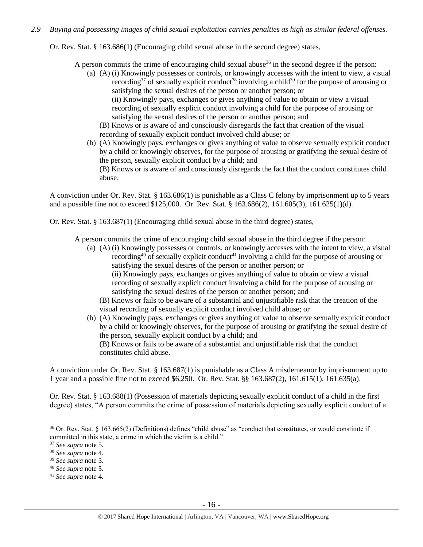## *2.9 Buying and possessing images of child sexual exploitation carries penalties as high as similar federal offenses.*

Or. Rev. Stat. § 163.686(1) (Encouraging child sexual abuse in the second degree) states,

A person commits the crime of encouraging child sexual abuse<sup>36</sup> in the second degree if the person:

(a) (A) (i) Knowingly possesses or controls, or knowingly accesses with the intent to view, a visual recording<sup>37</sup> of sexually explicit conduct<sup>38</sup> involving a child<sup>39</sup> for the purpose of arousing or satisfying the sexual desires of the person or another person; or (ii) Knowingly pays, exchanges or gives anything of value to obtain or view a visual

recording of sexually explicit conduct involving a child for the purpose of arousing or satisfying the sexual desires of the person or another person; and

(B) Knows or is aware of and consciously disregards the fact that creation of the visual recording of sexually explicit conduct involved child abuse; or

(b) (A) Knowingly pays, exchanges or gives anything of value to observe sexually explicit conduct by a child or knowingly observes, for the purpose of arousing or gratifying the sexual desire of the person, sexually explicit conduct by a child; and (B) Knows or is aware of and consciously disregards the fact that the conduct constitutes child abuse.

A conviction under Or. Rev. Stat. § 163.686(1) is punishable as a Class C felony by imprisonment up to 5 years and a possible fine not to exceed \$125,000. Or. Rev. Stat. § 163.686(2), 161.605(3), 161.625(1)(d).

Or. Rev. Stat. § 163.687(1) (Encouraging child sexual abuse in the third degree) states,

A person commits the crime of encouraging child sexual abuse in the third degree if the person:

- (a) (A) (i) Knowingly possesses or controls, or knowingly accesses with the intent to view, a visual recording<sup>40</sup> of sexually explicit conduct<sup>41</sup> involving a child for the purpose of arousing or satisfying the sexual desires of the person or another person; or (ii) Knowingly pays, exchanges or gives anything of value to obtain or view a visual recording of sexually explicit conduct involving a child for the purpose of arousing or satisfying the sexual desires of the person or another person; and
	- (B) Knows or fails to be aware of a substantial and unjustifiable risk that the creation of the visual recording of sexually explicit conduct involved child abuse; or
- (b) (A) Knowingly pays, exchanges or gives anything of value to observe sexually explicit conduct by a child or knowingly observes, for the purpose of arousing or gratifying the sexual desire of the person, sexually explicit conduct by a child; and (B) Knows or fails to be aware of a substantial and unjustifiable risk that the conduct constitutes child abuse.

A conviction under Or. Rev. Stat. § 163.687(1) is punishable as a Class A misdemeanor by imprisonment up to 1 year and a possible fine not to exceed \$6,250. Or. Rev. Stat. §§ 163.687(2), 161.615(1), 161.635(a).

Or. Rev. Stat. § 163.688(1) (Possession of materials depicting sexually explicit conduct of a child in the first degree) states, "A person commits the crime of possession of materials depicting sexually explicit conduct of a

 $36$  Or. Rev. Stat. § 163.665(2) (Definitions) defines "child abuse" as "conduct that constitutes, or would constitute if committed in this state, a crime in which the victim is a child."

<sup>37</sup> *See supra* note [5.](#page-2-2)

<sup>38</sup> *See supra* note [4.](#page-2-1)

<sup>39</sup> *See supra* note [3.](#page-2-3)

<sup>40</sup> *See supra* note [5.](#page-2-2)

<sup>41</sup> *See supra* note [4.](#page-2-1)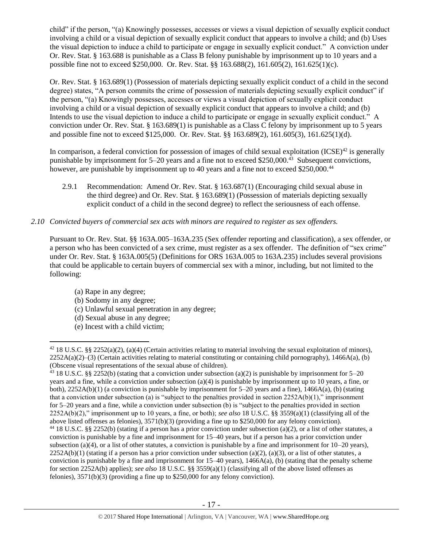child" if the person, "(a) Knowingly possesses, accesses or views a visual depiction of sexually explicit conduct involving a child or a visual depiction of sexually explicit conduct that appears to involve a child; and (b) Uses the visual depiction to induce a child to participate or engage in sexually explicit conduct." A conviction under Or. Rev. Stat. § 163.688 is punishable as a Class B felony punishable by imprisonment up to 10 years and a possible fine not to exceed \$250,000. Or. Rev. Stat. §§ 163.688(2), 161.605(2), 161.625(1)(c).

Or. Rev. Stat. § 163.689(1) (Possession of materials depicting sexually explicit conduct of a child in the second degree) states, "A person commits the crime of possession of materials depicting sexually explicit conduct" if the person, "(a) Knowingly possesses, accesses or views a visual depiction of sexually explicit conduct involving a child or a visual depiction of sexually explicit conduct that appears to involve a child; and (b) Intends to use the visual depiction to induce a child to participate or engage in sexually explicit conduct." A conviction under Or. Rev. Stat. § 163.689(1) is punishable as a Class C felony by imprisonment up to 5 years and possible fine not to exceed \$125,000. Or. Rev. Stat. §§ 163.689(2), 161.605(3), 161.625(1)(d).

In comparison, a federal conviction for possession of images of child sexual exploitation  $(ICSE)^{42}$  is generally punishable by imprisonment for 5–20 years and a fine not to exceed \$250,000.<sup>43</sup> Subsequent convictions, however, are punishable by imprisonment up to 40 years and a fine not to exceed \$250,000.<sup>44</sup>

2.9.1 Recommendation: Amend Or. Rev. Stat. § 163.687(1) (Encouraging child sexual abuse in the third degree) and Or. Rev. Stat. § 163.689(1) (Possession of materials depicting sexually explicit conduct of a child in the second degree) to reflect the seriousness of each offense.

## *2.10 Convicted buyers of commercial sex acts with minors are required to register as sex offenders.*

Pursuant to Or. Rev. Stat. §§ 163A.005–163A.235 (Sex offender reporting and classification), a sex offender, or a person who has been convicted of a sex crime, must register as a sex offender. The definition of "sex crime" under Or. Rev. Stat. § 163A.005(5) (Definitions for ORS 163A.005 to 163A.235) includes several provisions that could be applicable to certain buyers of commercial sex with a minor, including, but not limited to the following:

(a) Rape in any degree;

- (b) Sodomy in any degree;
- (c) Unlawful sexual penetration in any degree;
- (d) Sexual abuse in any degree;
- (e) Incest with a child victim;

<sup>&</sup>lt;sup>42</sup> 18 U.S.C. §§ 2252(a)(2), (a)(4) (Certain activities relating to material involving the sexual exploitation of minors),  $2252A(a)(2)$ –(3) (Certain activities relating to material constituting or containing child pornography), 1466A(a), (b) (Obscene visual representations of the sexual abuse of children).

<sup>&</sup>lt;sup>43</sup> 18 U.S.C. §§ 2252(b) (stating that a conviction under subsection (a)(2) is punishable by imprisonment for 5–20 years and a fine, while a conviction under subsection (a)(4) is punishable by imprisonment up to 10 years, a fine, or both),  $2252A(b)(1)$  (a conviction is punishable by imprisonment for 5–20 years and a fine),  $1466A(a)$ , (b) (stating that a conviction under subsection (a) is "subject to the penalties provided in section  $2252A(b)(1)$ ," imprisonment for 5–20 years and a fine, while a conviction under subsection (b) is "subject to the penalties provided in section 2252A(b)(2)," imprisonment up to 10 years, a fine, or both); *see also* 18 U.S.C. §§ 3559(a)(1) (classifying all of the above listed offenses as felonies), 3571(b)(3) (providing a fine up to \$250,000 for any felony conviction). <sup>44</sup> 18 U.S.C. §§ 2252(b) (stating if a person has a prior conviction under subsection (a)(2), or a list of other statutes, a conviction is punishable by a fine and imprisonment for 15–40 years, but if a person has a prior conviction under subsection (a)(4), or a list of other statutes, a conviction is punishable by a fine and imprisonment for  $10-20$  years),  $2252A(b)(1)$  (stating if a person has a prior conviction under subsection (a)(2), (a)(3), or a list of other statutes, a conviction is punishable by a fine and imprisonment for  $15-40$  years),  $1466A(a)$ , (b) (stating that the penalty scheme for section 2252A(b) applies); *see also* 18 U.S.C. §§ 3559(a)(1) (classifying all of the above listed offenses as felonies), 3571(b)(3) (providing a fine up to \$250,000 for any felony conviction).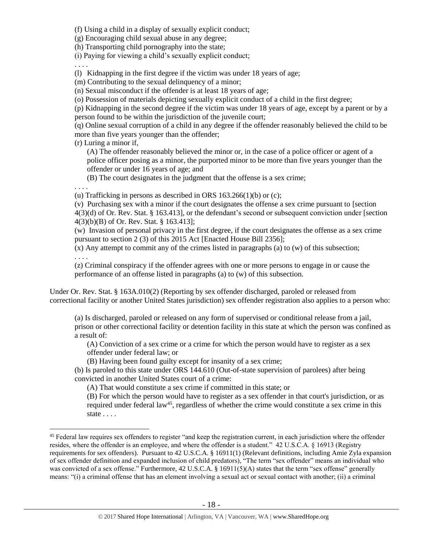(f) Using a child in a display of sexually explicit conduct;

(g) Encouraging child sexual abuse in any degree;

(h) Transporting child pornography into the state;

(i) Paying for viewing a child's sexually explicit conduct;

. . . .

(l) Kidnapping in the first degree if the victim was under 18 years of age;

(m) Contributing to the sexual delinquency of a minor;

(n) Sexual misconduct if the offender is at least 18 years of age;

(o) Possession of materials depicting sexually explicit conduct of a child in the first degree;

(p) Kidnapping in the second degree if the victim was under 18 years of age, except by a parent or by a person found to be within the jurisdiction of the juvenile court;

(q) Online sexual corruption of a child in any degree if the offender reasonably believed the child to be more than five years younger than the offender;

(r) Luring a minor if,

(A) The offender reasonably believed the minor or, in the case of a police officer or agent of a police officer posing as a minor, the purported minor to be more than five years younger than the offender or under 16 years of age; and

(B) The court designates in the judgment that the offense is a sex crime;

. . . .

 $\overline{a}$ 

(u) Trafficking in persons as described in ORS  $163.266(1)(b)$  or (c);

(v) Purchasing sex with a minor if the court designates the offense a sex crime pursuant to [section 4(3)(d) of Or. Rev. Stat. § 163.413], or the defendant's second or subsequent conviction under [section 4(3)(b)(B) of Or. Rev. Stat. § 163.413];

(w) Invasion of personal privacy in the first degree, if the court designates the offense as a sex crime pursuant to section 2 (3) of this 2015 Act [Enacted House Bill 2356];

(x) Any attempt to commit any of the crimes listed in paragraphs (a) to (w) of this subsection; . . . .

(z) Criminal conspiracy if the offender agrees with one or more persons to engage in or cause the performance of an offense listed in paragraphs (a) to (w) of this subsection.

Under Or. Rev. Stat. § 163A.010(2) (Reporting by sex offender discharged, paroled or released from correctional facility or another United States jurisdiction) sex offender registration also applies to a person who:

(a) Is discharged, paroled or released on any form of supervised or conditional release from a jail, prison or other correctional facility or detention facility in this state at which the person was confined as a result of:

(A) Conviction of a sex crime or a crime for which the person would have to register as a sex offender under federal law; or

(B) Having been found guilty except for insanity of a sex crime;

(b) Is paroled to this state under ORS 144.610 (Out-of-state supervision of parolees) after being convicted in another United States court of a crime:

(A) That would constitute a sex crime if committed in this state; or

<span id="page-17-0"></span>(B) For which the person would have to register as a sex offender in that court's jurisdiction, or as required under federal law<sup>45</sup>, regardless of whether the crime would constitute a sex crime in this state . . . .

<sup>&</sup>lt;sup>45</sup> Federal law requires sex offenders to register "and keep the registration current, in each jurisdiction where the offender resides, where the offender is an employee, and where the offender is a student." 42 U.S.C.A. § 16913 (Registry requirements for sex offenders). Pursuant to 42 U.S.C.A. § 16911(1) (Relevant definitions, including Amie Zyla expansion of sex offender definition and expanded inclusion of child predators), "The term "sex offender" means an individual who was convicted of a sex offense." Furthermore, 42 U.S.C.A. § 16911(5)(A) states that the term "sex offense" generally means: "(i) a criminal offense that has an element involving a sexual act or sexual contact with another; (ii) a criminal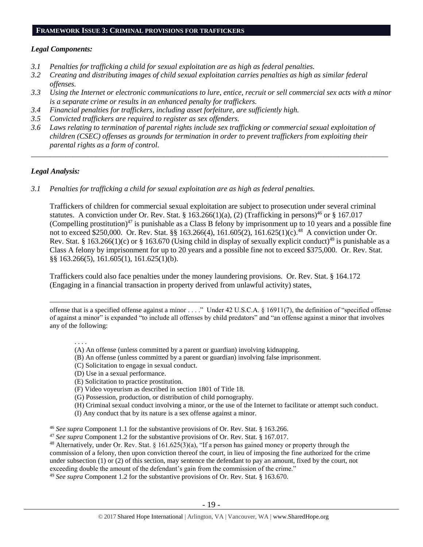#### **FRAMEWORK ISSUE 3: CRIMINAL PROVISIONS FOR TRAFFICKERS**

## *Legal Components:*

- *3.1 Penalties for trafficking a child for sexual exploitation are as high as federal penalties.*
- *3.2 Creating and distributing images of child sexual exploitation carries penalties as high as similar federal offenses.*
- *3.3 Using the Internet or electronic communications to lure, entice, recruit or sell commercial sex acts with a minor is a separate crime or results in an enhanced penalty for traffickers.*
- *3.4 Financial penalties for traffickers, including asset forfeiture, are sufficiently high.*
- *3.5 Convicted traffickers are required to register as sex offenders.*
- *3.6 Laws relating to termination of parental rights include sex trafficking or commercial sexual exploitation of children (CSEC) offenses as grounds for termination in order to prevent traffickers from exploiting their parental rights as a form of control.*

*\_\_\_\_\_\_\_\_\_\_\_\_\_\_\_\_\_\_\_\_\_\_\_\_\_\_\_\_\_\_\_\_\_\_\_\_\_\_\_\_\_\_\_\_\_\_\_\_\_\_\_\_\_\_\_\_\_\_\_\_\_\_\_\_\_\_\_\_\_\_\_\_\_\_\_\_\_\_\_\_\_\_\_\_\_\_\_\_\_\_\_\_\_\_*

## *Legal Analysis:*

*3.1 Penalties for trafficking a child for sexual exploitation are as high as federal penalties.* 

Traffickers of children for commercial sexual exploitation are subject to prosecution under several criminal statutes. A conviction under Or. Rev. Stat. § 163.266(1)(a), (2) (Trafficking in persons)<sup>46</sup> or § 167.017 (Compelling prostitution)<sup>47</sup> is punishable as a Class B felony by imprisonment up to 10 years and a possible fine not to exceed \$250,000. Or. Rev. Stat. §§ 163.266(4), 161.605(2), 161.625(1)(c).<sup>48</sup> A conviction under Or. Rev. Stat. § 163.266(1)(c) or § 163.670 (Using child in display of sexually explicit conduct)<sup>49</sup> is punishable as a Class A felony by imprisonment for up to 20 years and a possible fine not to exceed \$375,000. Or. Rev. Stat. §§ 163.266(5), 161.605(1), 161.625(1)(b).

Traffickers could also face penalties under the money laundering provisions. Or. Rev. Stat. § 164.172 (Engaging in a financial transaction in property derived from unlawful activity) states,

 $\overline{a}$ offense that is a specified offense against a minor . . . ." Under 42 U.S.C.A. § 16911(7), the definition of "specified offense of against a minor" is expanded "to include all offenses by child predators" and "an offense against a minor that involves any of the following:

- <span id="page-18-0"></span>. . . .
- (A) An offense (unless committed by a parent or guardian) involving kidnapping.
- (B) An offense (unless committed by a parent or guardian) involving false imprisonment.
- (C) Solicitation to engage in sexual conduct.
- (D) Use in a sexual performance.
- (E) Solicitation to practice prostitution.
- (F) Video voyeurism as described in [section 1801 of Title 18.](https://1.next.westlaw.com/Link/Document/FullText?findType=L&pubNum=1000546&cite=18USCAS1801&originatingDoc=N61E9B1E02C9B11DBB179FACF3E96AFAD&refType=LQ&originationContext=document&transitionType=DocumentItem&contextData=(sc.Search))
- (G) Possession, production, or distribution of child pornography.
- (H) Criminal sexual conduct involving a minor, or the use of the Internet to facilitate or attempt such conduct.
- (I) Any conduct that by its nature is a sex offense against a minor.

<sup>46</sup> *See supra* Component 1.1 for the substantive provisions of Or. Rev. Stat. § 163.266.

<sup>47</sup> *See supra* Component 1.2 for the substantive provisions of Or. Rev. Stat. § 167.017.

<sup>48</sup> Alternatively, under Or. Rev. Stat. § 161.625(3)(a), "If a person has gained money or property through the commission of a felony, then upon conviction thereof the court, in lieu of imposing the fine authorized for the crime under subsection (1) or (2) of this section, may sentence the defendant to pay an amount, fixed by the court, not exceeding double the amount of the defendant's gain from the commission of the crime."

<sup>49</sup> *See supra* Component 1.2 for the substantive provisions of Or. Rev. Stat. § 163.670.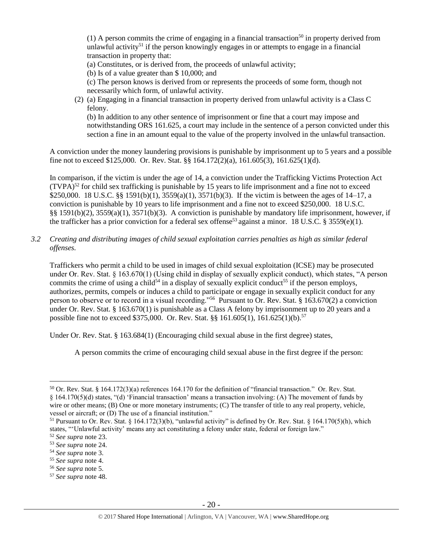<span id="page-19-1"></span><span id="page-19-0"></span>(1) A person commits the crime of engaging in a financial transaction<sup>50</sup> in property derived from unlawful activity<sup>51</sup> if the person knowingly engages in or attempts to engage in a financial transaction in property that:

(a) Constitutes, or is derived from, the proceeds of unlawful activity;

(b) Is of a value greater than \$ 10,000; and

(c) The person knows is derived from or represents the proceeds of some form, though not necessarily which form, of unlawful activity.

(2) (a) Engaging in a financial transaction in property derived from unlawful activity is a Class C felony.

(b) In addition to any other sentence of imprisonment or fine that a court may impose and notwithstanding ORS 161.625, a court may include in the sentence of a person convicted under this section a fine in an amount equal to the value of the property involved in the unlawful transaction.

A conviction under the money laundering provisions is punishable by imprisonment up to 5 years and a possible fine not to exceed \$125,000. Or. Rev. Stat. §§ 164.172(2)(a), 161.605(3), 161.625(1)(d).

In comparison, if the victim is under the age of 14, a conviction under the Trafficking Victims Protection Act  $(TVPA)^{52}$  for child sex trafficking is punishable by 15 years to life imprisonment and a fine not to exceed \$250,000. 18 U.S.C. §§ 1591(b)(1), 3559(a)(1), 3571(b)(3). If the victim is between the ages of 14–17, a conviction is punishable by 10 years to life imprisonment and a fine not to exceed \$250,000. 18 U.S.C. §§ 1591(b)(2), 3559(a)(1), 3571(b)(3). A conviction is punishable by mandatory life imprisonment, however, if the trafficker has a prior conviction for a federal sex offense<sup>53</sup> against a minor. 18 U.S.C. § 3559(e)(1).

*3.2 Creating and distributing images of child sexual exploitation carries penalties as high as similar federal offenses.*

Traffickers who permit a child to be used in images of child sexual exploitation (ICSE) may be prosecuted under Or. Rev. Stat. § 163.670(1) (Using child in display of sexually explicit conduct), which states, "A person commits the crime of using a child<sup>54</sup> in a display of sexually explicit conduct<sup>55</sup> if the person employs, authorizes, permits, compels or induces a child to participate or engage in sexually explicit conduct for any person to observe or to record in a visual recording."<sup>56</sup> Pursuant to Or. Rev. Stat. § 163.670(2) a conviction under Or. Rev. Stat. § 163.670(1) is punishable as a Class A felony by imprisonment up to 20 years and a possible fine not to exceed \$375,000. Or. Rev. Stat. §§ 161.605(1), 161.625(1)(b).<sup>57</sup>

Under Or. Rev. Stat. § 163.684(1) (Encouraging child sexual abuse in the first degree) states,

A person commits the crime of encouraging child sexual abuse in the first degree if the person:

 $50$  Or. Rev. Stat. § 164.172(3)(a) references 164.170 for the definition of "financial transaction." Or. Rev. Stat. § 164.170(5)(d) states, "(d) 'Financial transaction' means a transaction involving: (A) The movement of funds by wire or other means; (B) One or more monetary instruments; (C) The transfer of title to any real property, vehicle, vessel or aircraft; or (D) The use of a financial institution."

<sup>&</sup>lt;sup>51</sup> Pursuant to Or. Rev. Stat. § 164.172(3)(b), "unlawful activity" is defined by Or. Rev. Stat. § 164.170(5)(h), which states, "'Unlawful activity' means any act constituting a felony under state, federal or foreign law."

<sup>52</sup> *See supra* note [23.](#page-10-0)

<sup>53</sup> *See supra* note [24.](#page-10-1)

<sup>54</sup> *See supra* note [3.](#page-2-3)

<sup>55</sup> *See supra* note [4.](#page-2-1)

<sup>56</sup> *See supra* note [5.](#page-2-2)

<sup>57</sup> *See supra* note [48.](#page-18-0)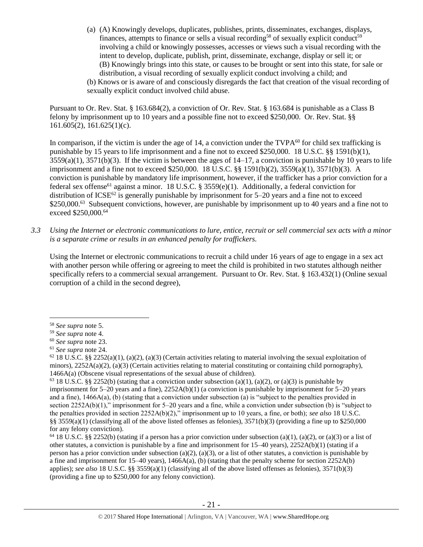- (a) (A) Knowingly develops, duplicates, publishes, prints, disseminates, exchanges, displays, finances, attempts to finance or sells a visual recording<sup>58</sup> of sexually explicit conduct<sup>59</sup> involving a child or knowingly possesses, accesses or views such a visual recording with the intent to develop, duplicate, publish, print, disseminate, exchange, display or sell it; or (B) Knowingly brings into this state, or causes to be brought or sent into this state, for sale or distribution, a visual recording of sexually explicit conduct involving a child; and
- (b) Knows or is aware of and consciously disregards the fact that creation of the visual recording of sexually explicit conduct involved child abuse.

Pursuant to Or. Rev. Stat. § 163.684(2), a conviction of Or. Rev. Stat. § 163.684 is punishable as a Class B felony by imprisonment up to 10 years and a possible fine not to exceed \$250,000. Or. Rev. Stat. §§  $161.605(2)$ ,  $161.625(1)(c)$ .

In comparison, if the victim is under the age of 14, a conviction under the  $TVPA^{60}$  for child sex trafficking is punishable by 15 years to life imprisonment and a fine not to exceed \$250,000. 18 U.S.C. §§ 1591(b)(1),  $3559(a)(1)$ ,  $3571(b)(3)$ . If the victim is between the ages of  $14-17$ , a conviction is punishable by 10 years to life imprisonment and a fine not to exceed \$250,000. 18 U.S.C. §§ 1591(b)(2), 3559(a)(1), 3571(b)(3). A conviction is punishable by mandatory life imprisonment, however, if the trafficker has a prior conviction for a federal sex offense<sup>61</sup> against a minor. 18 U.S.C. § 3559 $(e)(1)$ . Additionally, a federal conviction for distribution of ICSE<sup>62</sup> is generally punishable by imprisonment for  $5-20$  years and a fine not to exceed \$250,000.<sup>63</sup> Subsequent convictions, however, are punishable by imprisonment up to 40 years and a fine not to exceed \$250,000.<sup>64</sup>

*3.3 Using the Internet or electronic communications to lure, entice, recruit or sell commercial sex acts with a minor is a separate crime or results in an enhanced penalty for traffickers.*

Using the Internet or electronic communications to recruit a child under 16 years of age to engage in a sex act with another person while offering or agreeing to meet the child is prohibited in two statutes although neither specifically refers to a commercial sexual arrangement. Pursuant to Or. Rev. Stat. § 163.432(1) (Online sexual corruption of a child in the second degree),

<sup>58</sup> *See supra* note [5.](#page-2-2)

<sup>59</sup> *See supra* note [4.](#page-2-1)

<sup>60</sup> *See supra* note [23.](#page-10-0)

<sup>61</sup> *See supra* note [24.](#page-10-1)

 $62$  18 U.S.C. §§ 2252(a)(1), (a)(2), (a)(3) (Certain activities relating to material involving the sexual exploitation of minors),  $2252A(a)(2)$ ,  $(a)(3)$  (Certain activities relating to material constituting or containing child pornography), 1466A(a) (Obscene visual representations of the sexual abuse of children).

<sup>&</sup>lt;sup>63</sup> 18 U.S.C. §§ 2252(b) (stating that a conviction under subsection (a)(1), (a)(2), or (a)(3) is punishable by imprisonment for  $5-20$  years and a fine),  $2252A(b)(1)$  (a conviction is punishable by imprisonment for  $5-20$  years and a fine), 1466A(a), (b) (stating that a conviction under subsection (a) is "subject to the penalties provided in section 2252A(b)(1)," imprisonment for 5–20 years and a fine, while a conviction under subsection (b) is "subject to the penalties provided in section 2252A(b)(2)," imprisonment up to 10 years, a fine, or both); *see also* 18 U.S.C. §§ 3559(a)(1) (classifying all of the above listed offenses as felonies), 3571(b)(3) (providing a fine up to \$250,000 for any felony conviction).

<sup>&</sup>lt;sup>64</sup> 18 U.S.C. §§ 2252(b) (stating if a person has a prior conviction under subsection (a)(1), (a)(2), or (a)(3) or a list of other statutes, a conviction is punishable by a fine and imprisonment for 15–40 years), 2252A(b)(1) (stating if a person has a prior conviction under subsection (a)(2), (a)(3), or a list of other statutes, a conviction is punishable by a fine and imprisonment for  $15-40$  years),  $1466A(a)$ , (b) (stating that the penalty scheme for section  $2252A(b)$ applies); *see also* 18 U.S.C. §§ 3559(a)(1) (classifying all of the above listed offenses as felonies), 3571(b)(3) (providing a fine up to \$250,000 for any felony conviction).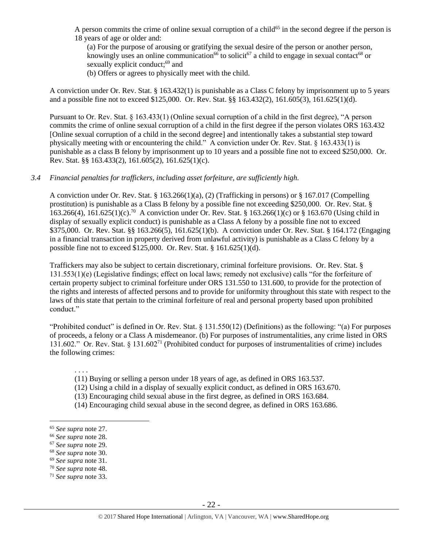A person commits the crime of online sexual corruption of a child<sup>65</sup> in the second degree if the person is 18 years of age or older and:

(a) For the purpose of arousing or gratifying the sexual desire of the person or another person, knowingly uses an online communication<sup>66</sup> to solicit<sup>67</sup> a child to engage in sexual contact<sup>68</sup> or sexually explicit conduct;<sup>69</sup> and

(b) Offers or agrees to physically meet with the child.

A conviction under Or. Rev. Stat. § 163.432(1) is punishable as a Class C felony by imprisonment up to 5 years and a possible fine not to exceed \$125,000. Or. Rev. Stat. §§ 163.432(2), 161.605(3), 161.625(1)(d).

Pursuant to Or. Rev. Stat. § 163.433(1) (Online sexual corruption of a child in the first degree), "A person commits the crime of online sexual corruption of a child in the first degree if the person violates ORS 163.432 [Online sexual corruption of a child in the second degree] and intentionally takes a substantial step toward physically meeting with or encountering the child." A conviction under Or. Rev. Stat. § 163.433(1) is punishable as a class B felony by imprisonment up to 10 years and a possible fine not to exceed \$250,000. Or. Rev. Stat. §§ 163.433(2), 161.605(2), 161.625(1)(c).

## *3.4 Financial penalties for traffickers, including asset forfeiture, are sufficiently high.*

A conviction under Or. Rev. Stat. § 163.266(1)(a), (2) (Trafficking in persons) or § 167.017 (Compelling prostitution) is punishable as a Class B felony by a possible fine not exceeding \$250,000. Or. Rev. Stat. § 163.266(4), 161.625(1)(c).<sup>70</sup> A conviction under Or. Rev. Stat. § 163.266(1)(c) or § 163.670 (Using child in display of sexually explicit conduct) is punishable as a Class A felony by a possible fine not to exceed \$375,000. Or. Rev. Stat. §§ 163.266(5), 161.625(1)(b). A conviction under Or. Rev. Stat. § 164.172 (Engaging in a financial transaction in property derived from unlawful activity) is punishable as a Class C felony by a possible fine not to exceed \$125,000. Or. Rev. Stat. § 161.625(1)(d).

Traffickers may also be subject to certain discretionary, criminal forfeiture provisions. Or. Rev. Stat. § 131.553(1)(e) (Legislative findings; effect on local laws; remedy not exclusive) calls "for the forfeiture of certain property subject to criminal forfeiture under ORS 131.550 to 131.600, to provide for the protection of the rights and interests of affected persons and to provide for uniformity throughout this state with respect to the laws of this state that pertain to the criminal forfeiture of real and personal property based upon prohibited conduct."

"Prohibited conduct" is defined in Or. Rev. Stat. § 131.550(12) (Definitions) as the following: "(a) For purposes of proceeds, a felony or a Class A misdemeanor. (b) For purposes of instrumentalities, any crime listed in ORS 131.602." Or. Rev. Stat. § 131.602<sup>71</sup> (Prohibited conduct for purposes of instrumentalities of crime) includes the following crimes:

(11) Buying or selling a person under 18 years of age, as defined in ORS 163.537.

- (12) Using a child in a display of sexually explicit conduct, as defined in ORS 163.670.
- (13) Encouraging child sexual abuse in the first degree, as defined in ORS 163.684.
- (14) Encouraging child sexual abuse in the second degree, as defined in ORS 163.686.

 $\overline{a}$ 

. . . .

- <sup>68</sup> *See supra* note [30.](#page-11-3)
- <sup>69</sup> *See supra* note [31.](#page-11-4)
- <sup>70</sup> *See supra* note [48.](#page-18-0)

<sup>65</sup> *See supra* note [27.](#page-11-0)

<sup>66</sup> *See supra* note [28.](#page-11-1)

<sup>67</sup> *See supra* note [29.](#page-11-2)

<sup>71</sup> *See supra* note [33.](#page-13-0)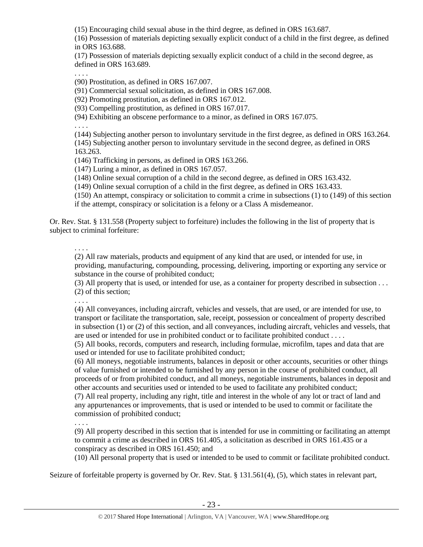(15) Encouraging child sexual abuse in the third degree, as defined in ORS 163.687.

(16) Possession of materials depicting sexually explicit conduct of a child in the first degree, as defined in ORS 163.688.

(17) Possession of materials depicting sexually explicit conduct of a child in the second degree, as defined in ORS 163.689.

. . . .

(90) Prostitution, as defined in ORS 167.007.

(91) Commercial sexual solicitation, as defined in ORS 167.008.

(92) Promoting prostitution, as defined in ORS 167.012.

(93) Compelling prostitution, as defined in ORS 167.017.

(94) Exhibiting an obscene performance to a minor, as defined in ORS 167.075.

. . . .

(144) Subjecting another person to involuntary servitude in the first degree, as defined in ORS 163.264. (145) Subjecting another person to involuntary servitude in the second degree, as defined in ORS 163.263.

(146) Trafficking in persons, as defined in ORS 163.266.

(147) Luring a minor, as defined in ORS 167.057.

(148) Online sexual corruption of a child in the second degree, as defined in ORS 163.432.

(149) Online sexual corruption of a child in the first degree, as defined in ORS 163.433.

(150) An attempt, conspiracy or solicitation to commit a crime in subsections (1) to (149) of this section if the attempt, conspiracy or solicitation is a felony or a Class A misdemeanor.

Or. Rev. Stat. § 131.558 (Property subject to forfeiture) includes the following in the list of property that is subject to criminal forfeiture:

. . . .

(2) All raw materials, products and equipment of any kind that are used, or intended for use, in providing, manufacturing, compounding, processing, delivering, importing or exporting any service or substance in the course of prohibited conduct;

(3) All property that is used, or intended for use, as a container for property described in subsection . . . (2) of this section;

. . . .

(4) All conveyances, including aircraft, vehicles and vessels, that are used, or are intended for use, to transport or facilitate the transportation, sale, receipt, possession or concealment of property described in subsection (1) or (2) of this section, and all conveyances, including aircraft, vehicles and vessels, that are used or intended for use in prohibited conduct or to facilitate prohibited conduct . . . .

(5) All books, records, computers and research, including formulae, microfilm, tapes and data that are used or intended for use to facilitate prohibited conduct;

(6) All moneys, negotiable instruments, balances in deposit or other accounts, securities or other things of value furnished or intended to be furnished by any person in the course of prohibited conduct, all proceeds of or from prohibited conduct, and all moneys, negotiable instruments, balances in deposit and other accounts and securities used or intended to be used to facilitate any prohibited conduct;

(7) All real property, including any right, title and interest in the whole of any lot or tract of land and any appurtenances or improvements, that is used or intended to be used to commit or facilitate the commission of prohibited conduct;

. . . .

(9) All property described in this section that is intended for use in committing or facilitating an attempt to commit a crime as described in ORS 161.405, a solicitation as described in ORS 161.435 or a conspiracy as described in ORS 161.450; and

(10) All personal property that is used or intended to be used to commit or facilitate prohibited conduct.

Seizure of forfeitable property is governed by Or. Rev. Stat. § 131.561(4), (5), which states in relevant part,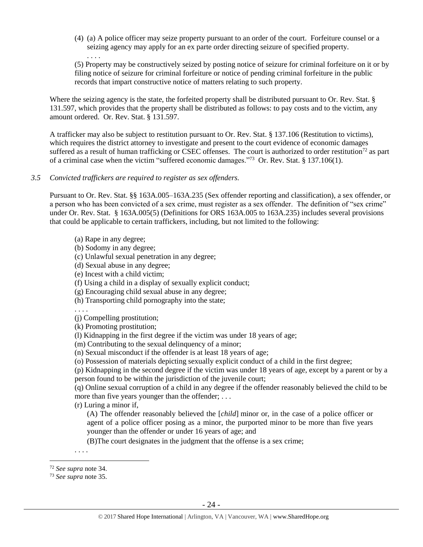(4) (a) A police officer may seize property pursuant to an order of the court. Forfeiture counsel or a seizing agency may apply for an ex parte order directing seizure of specified property.

(5) Property may be constructively seized by posting notice of seizure for criminal forfeiture on it or by filing notice of seizure for criminal forfeiture or notice of pending criminal forfeiture in the public records that impart constructive notice of matters relating to such property.

Where the seizing agency is the state, the forfeited property shall be distributed pursuant to Or. Rev. Stat. § 131.597, which provides that the property shall be distributed as follows: to pay costs and to the victim, any amount ordered. Or. Rev. Stat. § 131.597.

A trafficker may also be subject to restitution pursuant to Or. Rev. Stat. § 137.106 (Restitution to victims), which requires the district attorney to investigate and present to the court evidence of economic damages suffered as a result of human trafficking or CSEC offenses. The court is authorized to order restitution<sup>72</sup> as part of a criminal case when the victim "suffered economic damages."<sup>73</sup> Or. Rev. Stat. § 137.106(1).

## *3.5 Convicted traffickers are required to register as sex offenders.*

Pursuant to Or. Rev. Stat. §§ 163A.005–163A.235 (Sex offender reporting and classification), a sex offender, or a person who has been convicted of a sex crime, must register as a sex offender. The definition of "sex crime" under Or. Rev. Stat. § 163A.005(5) (Definitions for ORS 163A.005 to 163A.235) includes several provisions that could be applicable to certain traffickers, including, but not limited to the following:

(a) Rape in any degree;

. . . .

- (b) Sodomy in any degree;
- (c) Unlawful sexual penetration in any degree;
- (d) Sexual abuse in any degree;
- (e) Incest with a child victim;
- (f) Using a child in a display of sexually explicit conduct;
- (g) Encouraging child sexual abuse in any degree;
- (h) Transporting child pornography into the state;

. . . .

(j) Compelling prostitution;

(k) Promoting prostitution;

- (l) Kidnapping in the first degree if the victim was under 18 years of age;
- (m) Contributing to the sexual delinquency of a minor;

(n) Sexual misconduct if the offender is at least 18 years of age;

(o) Possession of materials depicting sexually explicit conduct of a child in the first degree;

(p) Kidnapping in the second degree if the victim was under 18 years of age, except by a parent or by a person found to be within the jurisdiction of the juvenile court;

(q) Online sexual corruption of a child in any degree if the offender reasonably believed the child to be more than five years younger than the offender; ...

(r) Luring a minor if,

(A) The offender reasonably believed the [*child*] minor or, in the case of a police officer or agent of a police officer posing as a minor, the purported minor to be more than five years younger than the offender or under 16 years of age; and

(B)The court designates in the judgment that the offense is a sex crime;

. . . .

 $\overline{a}$ <sup>72</sup> *See supra* note [34.](#page-14-0) 

<sup>73</sup> *See supra* note [35.](#page-14-1)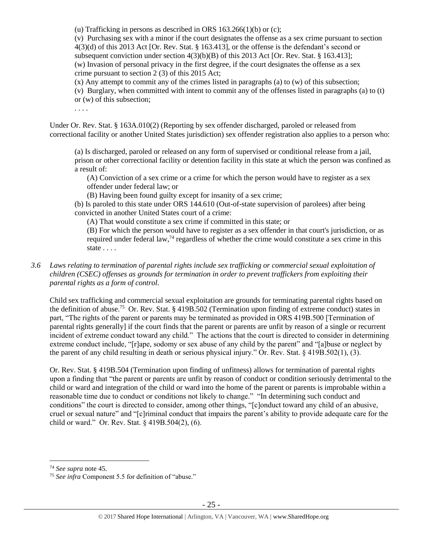(u) Trafficking in persons as described in ORS  $163.266(1)(b)$  or (c);

(v) Purchasing sex with a minor if the court designates the offense as a sex crime pursuant to section 4(3)(d) of this 2013 Act [Or. Rev. Stat. § 163.413], or the offense is the defendant's second or subsequent conviction under section 4(3)(b)(B) of this 2013 Act [Or. Rev. Stat. § 163.413]; (w) Invasion of personal privacy in the first degree, if the court designates the offense as a sex crime pursuant to section 2 (3) of this 2015 Act;

(x) Any attempt to commit any of the crimes listed in paragraphs (a) to (w) of this subsection;

(v) Burglary, when committed with intent to commit any of the offenses listed in paragraphs (a) to (t) or (w) of this subsection;

. . . .

Under Or. Rev. Stat. § 163A.010(2) (Reporting by sex offender discharged, paroled or released from correctional facility or another United States jurisdiction) sex offender registration also applies to a person who:

(a) Is discharged, paroled or released on any form of supervised or conditional release from a jail, prison or other correctional facility or detention facility in this state at which the person was confined as a result of:

(A) Conviction of a sex crime or a crime for which the person would have to register as a sex offender under federal law; or

(B) Having been found guilty except for insanity of a sex crime;

(b) Is paroled to this state under ORS 144.610 (Out-of-state supervision of parolees) after being convicted in another United States court of a crime:

(A) That would constitute a sex crime if committed in this state; or

(B) For which the person would have to register as a sex offender in that court's jurisdiction, or as required under federal law,<sup>74</sup> regardless of whether the crime would constitute a sex crime in this state . . . .

# *3.6 Laws relating to termination of parental rights include sex trafficking or commercial sexual exploitation of children (CSEC) offenses as grounds for termination in order to prevent traffickers from exploiting their parental rights as a form of control.*

Child sex trafficking and commercial sexual exploitation are grounds for terminating parental rights based on the definition of abuse.<sup>75</sup> Or. Rev. Stat. § 419B.502 (Termination upon finding of extreme conduct) states in part, "The rights of the parent or parents may be terminated as provided in ORS 419B.500 [Termination of parental rights generally] if the court finds that the parent or parents are unfit by reason of a single or recurrent incident of extreme conduct toward any child." The actions that the court is directed to consider in determining extreme conduct include, "[r]ape, sodomy or sex abuse of any child by the parent" and "[a]buse or neglect by the parent of any child resulting in death or serious physical injury." Or. Rev. Stat. § 419B.502(1), (3).

Or. Rev. Stat. § 419B.504 (Termination upon finding of unfitness) allows for termination of parental rights upon a finding that "the parent or parents are unfit by reason of conduct or condition seriously detrimental to the child or ward and integration of the child or ward into the home of the parent or parents is improbable within a reasonable time due to conduct or conditions not likely to change." "In determining such conduct and conditions" the court is directed to consider, among other things, "[c]onduct toward any child of an abusive, cruel or sexual nature" and "[c]riminal conduct that impairs the parent's ability to provide adequate care for the child or ward." Or. Rev. Stat. § 419B.504(2), (6).

<sup>74</sup> *See supra* note [45.](#page-17-0)

<sup>75</sup> *See infra* Component 5.5 for definition of "abuse."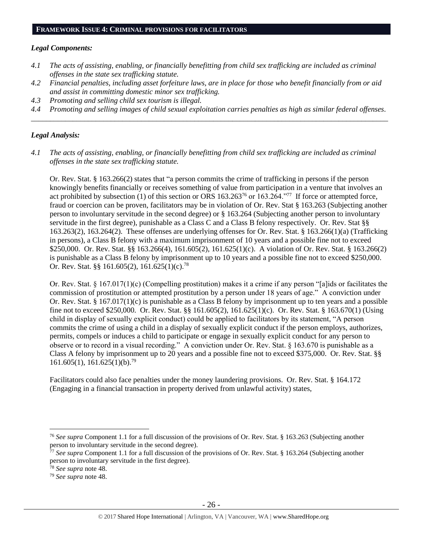#### **FRAMEWORK ISSUE 4: CRIMINAL PROVISIONS FOR FACILITATORS**

#### *Legal Components:*

- *4.1 The acts of assisting, enabling, or financially benefitting from child sex trafficking are included as criminal offenses in the state sex trafficking statute.*
- *4.2 Financial penalties, including asset forfeiture laws, are in place for those who benefit financially from or aid and assist in committing domestic minor sex trafficking.*
- *4.3 Promoting and selling child sex tourism is illegal.*
- *4.4 Promoting and selling images of child sexual exploitation carries penalties as high as similar federal offenses. \_\_\_\_\_\_\_\_\_\_\_\_\_\_\_\_\_\_\_\_\_\_\_\_\_\_\_\_\_\_\_\_\_\_\_\_\_\_\_\_\_\_\_\_\_\_\_\_\_\_\_\_\_\_\_\_\_\_\_\_\_\_\_\_\_\_\_\_\_\_\_\_\_\_\_\_\_\_\_\_\_\_\_\_\_\_\_\_\_\_\_\_\_\_*

## *Legal Analysis:*

*4.1 The acts of assisting, enabling, or financially benefitting from child sex trafficking are included as criminal offenses in the state sex trafficking statute.*

Or. Rev. Stat. § 163.266(2) states that "a person commits the crime of trafficking in persons if the person knowingly benefits financially or receives something of value from participation in a venture that involves an act prohibited by subsection (1) of this section or ORS 163.263<sup>76</sup> or 163.264."<sup>77</sup> If force or attempted force, fraud or coercion can be proven, facilitators may be in violation of Or. Rev. Stat § 163.263 (Subjecting another person to involuntary servitude in the second degree) or § 163.264 (Subjecting another person to involuntary servitude in the first degree), punishable as a Class C and a Class B felony respectively. Or. Rev. Stat §§ 163.263(2), 163.264(2). These offenses are underlying offenses for Or. Rev. Stat. § 163.266(1)(a) (Trafficking in persons), a Class B felony with a maximum imprisonment of 10 years and a possible fine not to exceed \$250,000. Or. Rev. Stat. §§ 163.266(4), 161.605(2), 161.625(1)(c). A violation of Or. Rev. Stat. § 163.266(2) is punishable as a Class B felony by imprisonment up to 10 years and a possible fine not to exceed \$250,000. Or. Rev. Stat. §§ 161.605(2), 161.625(1)(c).<sup>78</sup>

Or. Rev. Stat. § 167.017(1)(c) (Compelling prostitution) makes it a crime if any person "[a]ids or facilitates the commission of prostitution or attempted prostitution by a person under 18 years of age." A conviction under Or. Rev. Stat. § 167.017(1)(c) is punishable as a Class B felony by imprisonment up to ten years and a possible fine not to exceed \$250,000. Or. Rev. Stat. §§ 161.605(2), 161.625(1)(c). Or. Rev. Stat. § 163.670(1) (Using child in display of sexually explicit conduct) could be applied to facilitators by its statement, "A person commits the crime of using a child in a display of sexually explicit conduct if the person employs, authorizes, permits, compels or induces a child to participate or engage in sexually explicit conduct for any person to observe or to record in a visual recording." A conviction under Or. Rev. Stat. § 163.670 is punishable as a Class A felony by imprisonment up to 20 years and a possible fine not to exceed \$375,000. Or. Rev. Stat. §§ 161.605(1), 161.625(1)(b).<sup>79</sup>

Facilitators could also face penalties under the money laundering provisions. Or. Rev. Stat. § 164.172 (Engaging in a financial transaction in property derived from unlawful activity) states,

<sup>76</sup> *See supra* Component 1.1 for a full discussion of the provisions of Or. Rev. Stat. § 163.263 (Subjecting another person to involuntary servitude in the second degree).

<sup>77</sup> *See supra* Component 1.1 for a full discussion of the provisions of Or. Rev. Stat. § 163.264 (Subjecting another person to involuntary servitude in the first degree).

<sup>78</sup> *See supra* note [48.](#page-18-0)

<sup>79</sup> *See supra* note [48.](#page-18-0)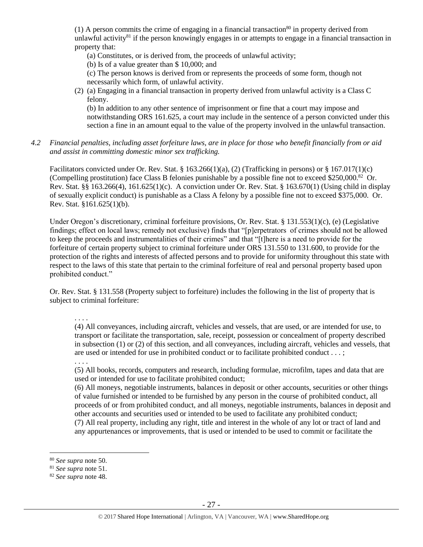(1) A person commits the crime of engaging in a financial transaction<sup>80</sup> in property derived from unlawful activity<sup>81</sup> if the person knowingly engages in or attempts to engage in a financial transaction in property that:

(a) Constitutes, or is derived from, the proceeds of unlawful activity;

(b) Is of a value greater than \$ 10,000; and

(c) The person knows is derived from or represents the proceeds of some form, though not necessarily which form, of unlawful activity.

(2) (a) Engaging in a financial transaction in property derived from unlawful activity is a Class C felony.

(b) In addition to any other sentence of imprisonment or fine that a court may impose and notwithstanding ORS 161.625, a court may include in the sentence of a person convicted under this section a fine in an amount equal to the value of the property involved in the unlawful transaction.

*4.2 Financial penalties, including asset forfeiture laws, are in place for those who benefit financially from or aid and assist in committing domestic minor sex trafficking.*

Facilitators convicted under Or. Rev. Stat. § 163.266(1)(a), (2) (Trafficking in persons) or § 167.017(1)(c) (Compelling prostitution) face Class B felonies punishable by a possible fine not to exceed \$250,000.<sup>82</sup> Or. Rev. Stat. §§ 163.266(4), 161.625(1)(c). A conviction under Or. Rev. Stat. § 163.670(1) (Using child in display of sexually explicit conduct) is punishable as a Class A felony by a possible fine not to exceed \$375,000. Or. Rev. Stat. §161.625(1)(b).

Under Oregon's discretionary, criminal forfeiture provisions, Or. Rev. Stat. § 131.553(1)(c), (e) (Legislative findings; effect on local laws; remedy not exclusive) finds that "[p]erpetrators of crimes should not be allowed to keep the proceeds and instrumentalities of their crimes" and that "[t]here is a need to provide for the forfeiture of certain property subject to criminal forfeiture under ORS 131.550 to 131.600, to provide for the protection of the rights and interests of affected persons and to provide for uniformity throughout this state with respect to the laws of this state that pertain to the criminal forfeiture of real and personal property based upon prohibited conduct."

Or. Rev. Stat. § 131.558 (Property subject to forfeiture) includes the following in the list of property that is subject to criminal forfeiture:

. . . .

. . . .

(4) All conveyances, including aircraft, vehicles and vessels, that are used, or are intended for use, to transport or facilitate the transportation, sale, receipt, possession or concealment of property described in subsection (1) or (2) of this section, and all conveyances, including aircraft, vehicles and vessels, that are used or intended for use in prohibited conduct or to facilitate prohibited conduct . . . ;

(5) All books, records, computers and research, including formulae, microfilm, tapes and data that are used or intended for use to facilitate prohibited conduct;

(6) All moneys, negotiable instruments, balances in deposit or other accounts, securities or other things of value furnished or intended to be furnished by any person in the course of prohibited conduct, all proceeds of or from prohibited conduct, and all moneys, negotiable instruments, balances in deposit and other accounts and securities used or intended to be used to facilitate any prohibited conduct; (7) All real property, including any right, title and interest in the whole of any lot or tract of land and any appurtenances or improvements, that is used or intended to be used to commit or facilitate the

<sup>80</sup> *See supra* note [50.](#page-19-0)

<sup>81</sup> *See supra* note [51.](#page-19-1)

<sup>82</sup> *See supra* note [48.](#page-18-0)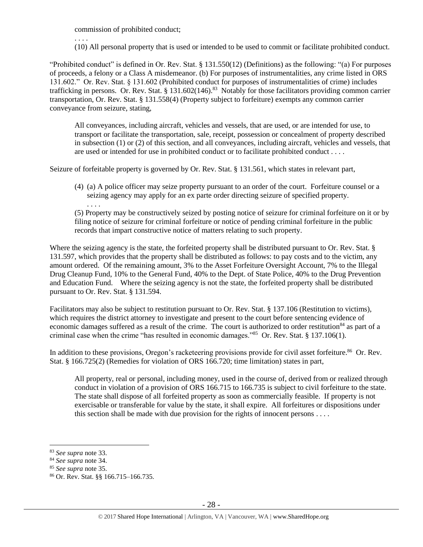commission of prohibited conduct;

. . . .

(10) All personal property that is used or intended to be used to commit or facilitate prohibited conduct.

"Prohibited conduct" is defined in Or. Rev. Stat. § 131.550(12) (Definitions) as the following: "(a) For purposes of proceeds, a felony or a Class A misdemeanor. (b) For purposes of instrumentalities, any crime listed in ORS 131.602." Or. Rev. Stat. § 131.602 (Prohibited conduct for purposes of instrumentalities of crime) includes trafficking in persons. Or. Rev. Stat. § 131.602(146).<sup>83</sup> Notably for those facilitators providing common carrier transportation, Or. Rev. Stat. § 131.558(4) (Property subject to forfeiture) exempts any common carrier conveyance from seizure, stating,

All conveyances, including aircraft, vehicles and vessels, that are used, or are intended for use, to transport or facilitate the transportation, sale, receipt, possession or concealment of property described in subsection (1) or (2) of this section, and all conveyances, including aircraft, vehicles and vessels, that are used or intended for use in prohibited conduct or to facilitate prohibited conduct . . . .

Seizure of forfeitable property is governed by Or. Rev. Stat. § 131.561, which states in relevant part,

(4) (a) A police officer may seize property pursuant to an order of the court. Forfeiture counsel or a seizing agency may apply for an ex parte order directing seizure of specified property. . . . .

(5) Property may be constructively seized by posting notice of seizure for criminal forfeiture on it or by filing notice of seizure for criminal forfeiture or notice of pending criminal forfeiture in the public records that impart constructive notice of matters relating to such property.

Where the seizing agency is the state, the forfeited property shall be distributed pursuant to Or. Rev. Stat. § 131.597, which provides that the property shall be distributed as follows: to pay costs and to the victim, any amount ordered. Of the remaining amount, 3% to the Asset Forfeiture Oversight Account, 7% to the Illegal Drug Cleanup Fund, 10% to the General Fund, 40% to the Dept. of State Police, 40% to the Drug Prevention and Education Fund. Where the seizing agency is not the state, the forfeited property shall be distributed pursuant to Or. Rev. Stat. § 131.594.

Facilitators may also be subject to restitution pursuant to Or. Rev. Stat. § 137.106 (Restitution to victims), which requires the district attorney to investigate and present to the court before sentencing evidence of economic damages suffered as a result of the crime. The court is authorized to order restitution<sup>84</sup> as part of a criminal case when the crime "has resulted in economic damages."<sup>85</sup> Or. Rev. Stat. § 137.106(1).

In addition to these provisions, Oregon's racketeering provisions provide for civil asset forfeiture.<sup>86</sup> Or. Rev. Stat. § 166.725(2) (Remedies for violation of ORS 166.720; time limitation) states in part,

All property, real or personal, including money, used in the course of, derived from or realized through conduct in violation of a provision of ORS 166.715 to 166.735 is subject to civil forfeiture to the state. The state shall dispose of all forfeited property as soon as commercially feasible. If property is not exercisable or transferable for value by the state, it shall expire. All forfeitures or dispositions under this section shall be made with due provision for the rights of innocent persons . . . .

<sup>83</sup> *See supra* note [33.](#page-13-0)

<sup>84</sup> *See supra* note [34.](#page-14-0) 

<sup>85</sup> *See supra* note [35.](#page-14-1)

<sup>86</sup> Or. Rev. Stat. §§ 166.715–166.735.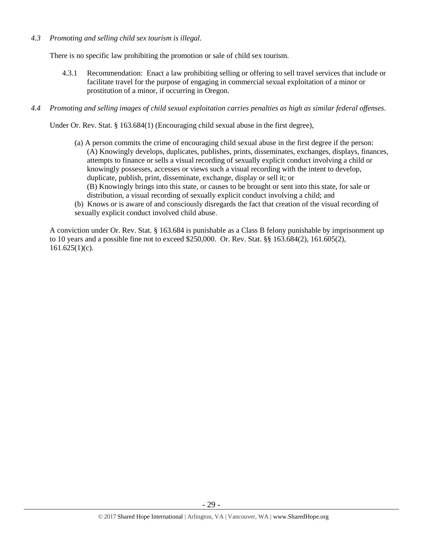## *4.3 Promoting and selling child sex tourism is illegal.*

There is no specific law prohibiting the promotion or sale of child sex tourism.

- 4.3.1 Recommendation: Enact a law prohibiting selling or offering to sell travel services that include or facilitate travel for the purpose of engaging in commercial sexual exploitation of a minor or prostitution of a minor, if occurring in Oregon.
- *4.4 Promoting and selling images of child sexual exploitation carries penalties as high as similar federal offenses.*

Under Or. Rev. Stat. § 163.684(1) (Encouraging child sexual abuse in the first degree),

- (a) A person commits the crime of encouraging child sexual abuse in the first degree if the person: (A) Knowingly develops, duplicates, publishes, prints, disseminates, exchanges, displays, finances, attempts to finance or sells a visual recording of sexually explicit conduct involving a child or knowingly possesses, accesses or views such a visual recording with the intent to develop, duplicate, publish, print, disseminate, exchange, display or sell it; or (B) Knowingly brings into this state, or causes to be brought or sent into this state, for sale or
	- distribution, a visual recording of sexually explicit conduct involving a child; and
- (b) Knows or is aware of and consciously disregards the fact that creation of the visual recording of sexually explicit conduct involved child abuse.

A conviction under Or. Rev. Stat. § 163.684 is punishable as a Class B felony punishable by imprisonment up to 10 years and a possible fine not to exceed \$250,000. Or. Rev. Stat. §§ 163.684(2), 161.605(2),  $161.625(1)(c)$ .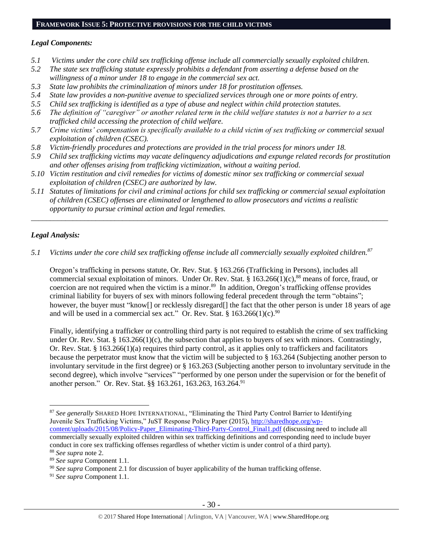#### **FRAMEWORK ISSUE 5: PROTECTIVE PROVISIONS FOR THE CHILD VICTIMS**

## *Legal Components:*

- *5.1 Victims under the core child sex trafficking offense include all commercially sexually exploited children.*
- *5.2 The state sex trafficking statute expressly prohibits a defendant from asserting a defense based on the willingness of a minor under 18 to engage in the commercial sex act.*
- *5.3 State law prohibits the criminalization of minors under 18 for prostitution offenses.*
- *5.4 State law provides a non-punitive avenue to specialized services through one or more points of entry.*
- *5.5 Child sex trafficking is identified as a type of abuse and neglect within child protection statutes.*
- *5.6 The definition of "caregiver" or another related term in the child welfare statutes is not a barrier to a sex trafficked child accessing the protection of child welfare.*
- *5.7 Crime victims' compensation is specifically available to a child victim of sex trafficking or commercial sexual exploitation of children (CSEC).*
- *5.8 Victim-friendly procedures and protections are provided in the trial process for minors under 18.*
- *5.9 Child sex trafficking victims may vacate delinquency adjudications and expunge related records for prostitution and other offenses arising from trafficking victimization, without a waiting period.*
- *5.10 Victim restitution and civil remedies for victims of domestic minor sex trafficking or commercial sexual exploitation of children (CSEC) are authorized by law.*
- *5.11 Statutes of limitations for civil and criminal actions for child sex trafficking or commercial sexual exploitation of children (CSEC) offenses are eliminated or lengthened to allow prosecutors and victims a realistic opportunity to pursue criminal action and legal remedies.*

*\_\_\_\_\_\_\_\_\_\_\_\_\_\_\_\_\_\_\_\_\_\_\_\_\_\_\_\_\_\_\_\_\_\_\_\_\_\_\_\_\_\_\_\_\_\_\_\_\_\_\_\_\_\_\_\_\_\_\_\_\_\_\_\_\_\_\_\_\_\_\_\_\_\_\_\_\_\_\_\_\_\_\_\_\_\_\_\_\_\_\_\_\_\_*

# *Legal Analysis:*

 $\overline{a}$ 

*5.1 Victims under the core child sex trafficking offense include all commercially sexually exploited children.<sup>87</sup>*

Oregon's trafficking in persons statute, Or. Rev. Stat. § 163.266 (Trafficking in Persons), includes all commercial sexual exploitation of minors. Under Or. Rev. Stat. § 163.266(1)(c),<sup>88</sup> means of force, fraud, or coercion are not required when the victim is a minor.<sup>89</sup> In addition, Oregon's trafficking offense provides criminal liability for buyers of sex with minors following federal precedent through the term "obtains"; however, the buyer must "know[] or recklessly disregard[] the fact that the other person is under 18 years of age and will be used in a commercial sex act." Or. Rev. Stat. § 163.266(1)(c).<sup>90</sup>

Finally, identifying a trafficker or controlling third party is not required to establish the crime of sex trafficking under Or. Rev. Stat. § 163.266(1)(c), the subsection that applies to buyers of sex with minors. Contrastingly, Or. Rev. Stat. § 163.266(1)(a) requires third party control, as it applies only to traffickers and facilitators because the perpetrator must know that the victim will be subjected to § 163.264 (Subjecting another person to involuntary servitude in the first degree) or § 163.263 (Subjecting another person to involuntary servitude in the second degree), which involve "services" "performed by one person under the supervision or for the benefit of another person." Or. Rev. Stat. §§ 163.261, 163.263, 163.264.<sup>91</sup>

<sup>87</sup> *See generally* SHARED HOPE INTERNATIONAL, "Eliminating the Third Party Control Barrier to Identifying Juvenile Sex Trafficking Victims," JuST Response Policy Paper (2015), [http://sharedhope.org/wp](http://sharedhope.org/wp-content/uploads/2015/08/Policy-Paper_Eliminating-Third-Party-Control_Final1.pdf)[content/uploads/2015/08/Policy-Paper\\_Eliminating-Third-Party-Control\\_Final1.pdf](http://sharedhope.org/wp-content/uploads/2015/08/Policy-Paper_Eliminating-Third-Party-Control_Final1.pdf) (discussing need to include all commercially sexually exploited children within sex trafficking definitions and corresponding need to include buyer conduct in core sex trafficking offenses regardless of whether victim is under control of a third party). <sup>88</sup> *See supra* note [2.](#page-0-0)

<sup>89</sup> *See supra* Component 1.1.

<sup>90</sup> *See supra* Component 2.1 for discussion of buyer applicability of the human trafficking offense.

<sup>91</sup> *See supra* Component 1.1.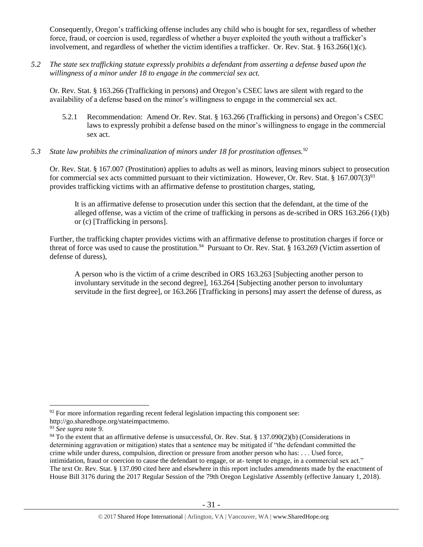Consequently, Oregon's trafficking offense includes any child who is bought for sex, regardless of whether force, fraud, or coercion is used, regardless of whether a buyer exploited the youth without a trafficker's involvement, and regardless of whether the victim identifies a trafficker. Or. Rev. Stat. § 163.266(1)(c).

*5.2 The state sex trafficking statute expressly prohibits a defendant from asserting a defense based upon the willingness of a minor under 18 to engage in the commercial sex act.*

Or. Rev. Stat. § 163.266 (Trafficking in persons) and Oregon's CSEC laws are silent with regard to the availability of a defense based on the minor's willingness to engage in the commercial sex act.

5.2.1 Recommendation: Amend Or. Rev. Stat. § 163.266 (Trafficking in persons) and Oregon's CSEC laws to expressly prohibit a defense based on the minor's willingness to engage in the commercial sex act.

# *5.3 State law prohibits the criminalization of minors under 18 for prostitution offenses.<sup>92</sup>*

Or. Rev. Stat. § 167.007 (Prostitution) applies to adults as well as minors, leaving minors subject to prosecution for commercial sex acts committed pursuant to their victimization. However, Or. Rev. Stat. § 167.007(3)<sup>93</sup> provides trafficking victims with an affirmative defense to prostitution charges, stating,

It is an affirmative defense to prosecution under this section that the defendant, at the time of the alleged offense, was a victim of the crime of trafficking in persons as de-scribed in ORS 163.266 (1)(b) or (c) [Trafficking in persons].

Further, the trafficking chapter provides victims with an affirmative defense to prostitution charges if force or threat of force was used to cause the prostitution.<sup>94</sup> Pursuant to Or. Rev. Stat. § 163.269 (Victim assertion of defense of duress),

A person who is the victim of a crime described in ORS 163.263 [Subjecting another person to involuntary servitude in the second degree], 163.264 [Subjecting another person to involuntary servitude in the first degree], or 163.266 [Trafficking in persons] may assert the defense of duress, as

 $92$  For more information regarding recent federal legislation impacting this component see:

http://go.sharedhope.org/stateimpactmemo.

<sup>93</sup> *See supra* note [9.](#page-5-0)

<sup>&</sup>lt;sup>94</sup> To the extent that an affirmative defense is unsuccessful, Or. Rev. Stat. § 137.090(2)(b) (Considerations in determining aggravation or mitigation) states that a sentence may be mitigated if "the defendant committed the crime while under duress, compulsion, direction or pressure from another person who has: . . . Used force, intimidation, fraud or coercion to cause the defendant to engage, or at- tempt to engage, in a commercial sex act." The text Or. Rev. Stat. § 137.090 cited here and elsewhere in this report includes amendments made by the enactment of House Bill 3176 during the 2017 Regular Session of the 79th Oregon Legislative Assembly (effective January 1, 2018).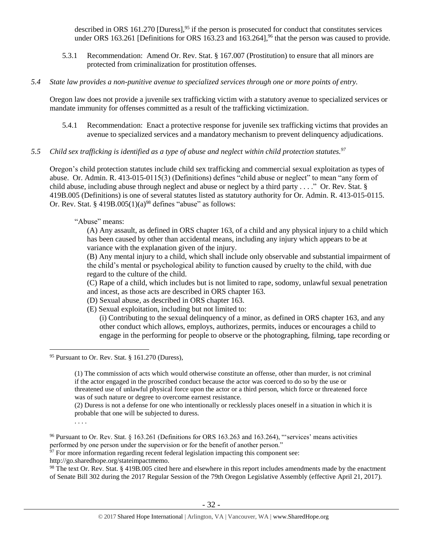described in ORS 161.270 [Duress],<sup>95</sup> if the person is prosecuted for conduct that constitutes services under ORS 163.261 [Definitions for ORS 163.23 and 163.264],<sup>96</sup> that the person was caused to provide.

- 5.3.1 Recommendation: Amend Or. Rev. Stat. § 167.007 (Prostitution) to ensure that all minors are protected from criminalization for prostitution offenses.
- *5.4 State law provides a non-punitive avenue to specialized services through one or more points of entry.*

Oregon law does not provide a juvenile sex trafficking victim with a statutory avenue to specialized services or mandate immunity for offenses committed as a result of the trafficking victimization.

- 5.4.1 Recommendation: Enact a protective response for juvenile sex trafficking victims that provides an avenue to specialized services and a mandatory mechanism to prevent delinquency adjudications.
- *5.5 Child sex trafficking is identified as a type of abuse and neglect within child protection statutes.<sup>97</sup>*

Oregon's child protection statutes include child sex trafficking and commercial sexual exploitation as types of abuse. Or. Admin. R. 413-015-0115(3) (Definitions) defines "child abuse or neglect" to mean "any form of child abuse, including abuse through neglect and abuse or neglect by a third party . . . ." Or. Rev. Stat. § 419B.005 (Definitions) is one of several statutes listed as statutory authority for Or. Admin. R. 413-015-0115. Or. Rev. Stat. §  $419B.005(1)(a)^{98}$  defines "abuse" as follows:

## "Abuse" means:

(A) Any assault, as defined in ORS chapter 163, of a child and any physical injury to a child which has been caused by other than accidental means, including any injury which appears to be at variance with the explanation given of the injury.

(B) Any mental injury to a child, which shall include only observable and substantial impairment of the child's mental or psychological ability to function caused by cruelty to the child, with due regard to the culture of the child.

(C) Rape of a child, which includes but is not limited to rape, sodomy, unlawful sexual penetration and incest, as those acts are described in ORS chapter 163.

- (D) Sexual abuse, as described in ORS chapter 163.
- (E) Sexual exploitation, including but not limited to:

(i) Contributing to the sexual delinquency of a minor, as defined in ORS chapter 163, and any other conduct which allows, employs, authorizes, permits, induces or encourages a child to engage in the performing for people to observe or the photographing, filming, tape recording or

. . . .

- $\frac{1}{97}$  For more information regarding recent federal legislation impacting this component see:
- http://go.sharedhope.org/stateimpactmemo.

<sup>95</sup> Pursuant to Or. Rev. Stat. § 161.270 (Duress),

<sup>(1)</sup> The commission of acts which would otherwise constitute an offense, other than murder, is not criminal if the actor engaged in the proscribed conduct because the actor was coerced to do so by the use or threatened use of unlawful physical force upon the actor or a third person, which force or threatened force was of such nature or degree to overcome earnest resistance.

<sup>(2)</sup> Duress is not a defense for one who intentionally or recklessly places oneself in a situation in which it is probable that one will be subjected to duress.

<sup>&</sup>lt;sup>96</sup> Pursuant to Or. Rev. Stat. § 163.261 (Definitions for ORS 163.263 and 163.264), "'services' means activities performed by one person under the supervision or for the benefit of another person."

<sup>98</sup> The text Or. Rev. Stat. § 419B.005 cited here and elsewhere in this report includes amendments made by the enactment of Senate Bill 302 during the 2017 Regular Session of the 79th Oregon Legislative Assembly (effective April 21, 2017).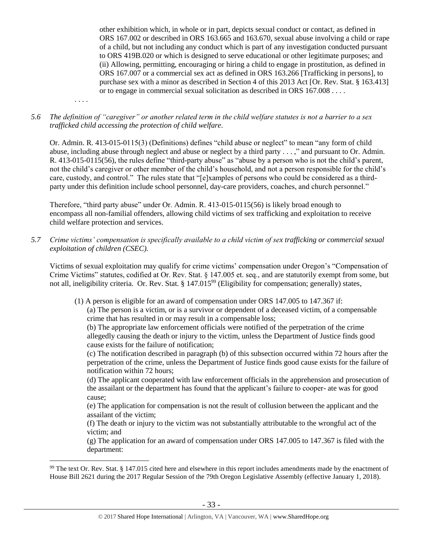other exhibition which, in whole or in part, depicts sexual conduct or contact, as defined in ORS 167.002 or described in ORS 163.665 and 163.670, sexual abuse involving a child or rape of a child, but not including any conduct which is part of any investigation conducted pursuant to ORS 419B.020 or which is designed to serve educational or other legitimate purposes; and (ii) Allowing, permitting, encouraging or hiring a child to engage in prostitution, as defined in ORS 167.007 or a commercial sex act as defined in ORS 163.266 [Trafficking in persons], to purchase sex with a minor as described in Section 4 of this 2013 Act [Or. Rev. Stat. § 163.413] or to engage in commercial sexual solicitation as described in ORS 167.008 . . . .

*5.6 The definition of "caregiver" or another related term in the child welfare statutes is not a barrier to a sex trafficked child accessing the protection of child welfare.*

. . . .

 $\overline{a}$ 

Or. Admin. R. 413-015-0115(3) (Definitions) defines "child abuse or neglect" to mean "any form of child abuse, including abuse through neglect and abuse or neglect by a third party . . . ," and pursuant to Or. Admin. R. 413-015-0115(56), the rules define "third-party abuse" as "abuse by a person who is not the child's parent, not the child's caregiver or other member of the child's household, and not a person responsible for the child's care, custody, and control." The rules state that "[e]xamples of persons who could be considered as a thirdparty under this definition include school personnel, day-care providers, coaches, and church personnel."

Therefore, "third party abuse" under Or. Admin. R. 413-015-0115(56) is likely broad enough to encompass all non-familial offenders, allowing child victims of sex trafficking and exploitation to receive child welfare protection and services.

*5.7 Crime victims' compensation is specifically available to a child victim of sex trafficking or commercial sexual exploitation of children (CSEC).*

Victims of sexual exploitation may qualify for crime victims' compensation under Oregon's "Compensation of Crime Victims" statutes, codified at Or. Rev. Stat. § 147.005 et. seq., and are statutorily exempt from some, but not all, ineligibility criteria. Or. Rev. Stat. § 147.015<sup>99</sup> (Eligibility for compensation; generally) states,

(1) A person is eligible for an award of compensation under ORS 147.005 to 147.367 if:

(a) The person is a victim, or is a survivor or dependent of a deceased victim, of a compensable crime that has resulted in or may result in a compensable loss;

(b) The appropriate law enforcement officials were notified of the perpetration of the crime allegedly causing the death or injury to the victim, unless the Department of Justice finds good cause exists for the failure of notification;

(c) The notification described in paragraph (b) of this subsection occurred within 72 hours after the perpetration of the crime, unless the Department of Justice finds good cause exists for the failure of notification within 72 hours;

(d) The applicant cooperated with law enforcement officials in the apprehension and prosecution of the assailant or the department has found that the applicant's failure to cooper- ate was for good cause;

(e) The application for compensation is not the result of collusion between the applicant and the assailant of the victim;

(f) The death or injury to the victim was not substantially attributable to the wrongful act of the victim; and

(g) The application for an award of compensation under ORS 147.005 to 147.367 is filed with the department:

 $99$  The text Or. Rev. Stat.  $\frac{8147.015}{ }$  cited here and elsewhere in this report includes amendments made by the enactment of House Bill 2621 during the 2017 Regular Session of the 79th Oregon Legislative Assembly (effective January 1, 2018).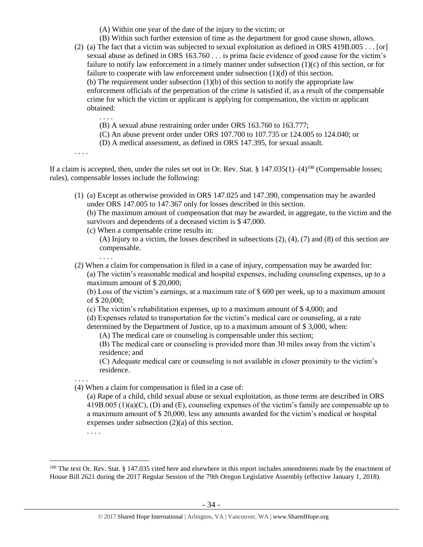- (A) Within one year of the date of the injury to the victim; or
- (B) Within such further extension of time as the department for good cause shown, allows. (2) (a) The fact that a victim was subjected to sexual exploitation as defined in ORS 419B.005 . . . [or] sexual abuse as defined in ORS 163.760 . . . is prima facie evidence of good cause for the victim's failure to notify law enforcement in a timely manner under subsection (1)(c) of this section, or for failure to cooperate with law enforcement under subsection (1)(d) of this section. (b) The requirement under subsection  $(1)(b)$  of this section to notify the appropriate law enforcement officials of the perpetration of the crime is satisfied if, as a result of the compensable crime for which the victim or applicant is applying for compensation, the victim or applicant obtained:

(B) A sexual abuse restraining order under ORS 163.760 to 163.777;

(C) An abuse prevent order under ORS 107.700 to 107.735 or 124.005 to 124.040; or

(D) A medical assessment, as defined in ORS 147.395, for sexual assault.

. . . .

If a claim is accepted, then, under the rules set out in Or. Rev. Stat. § 147.035(1)–(4)<sup>100</sup> (Compensable losses; rules), compensable losses include the following:

(1) (a) Except as otherwise provided in ORS 147.025 and 147.390, compensation may be awarded under ORS 147.005 to 147.367 only for losses described in this section.

(b) The maximum amount of compensation that may be awarded, in aggregate, to the victim and the survivors and dependents of a deceased victim is \$47,000.

- (c) When a compensable crime results in:
	- (A) Injury to a victim, the losses described in subsections (2), (4), (7) and (8) of this section are compensable.
	- . . . .

. . . .

(2) When a claim for compensation is filed in a case of injury, compensation may be awarded for:

(a) The victim's reasonable medical and hospital expenses, including counseling expenses, up to a maximum amount of \$ 20,000;

(b) Loss of the victim's earnings, at a maximum rate of \$ 600 per week, up to a maximum amount of \$ 20,000;

(c) The victim's rehabilitation expenses, up to a maximum amount of \$ 4,000; and

(d) Expenses related to transportation for the victim's medical care or counseling, at a rate determined by the Department of Justice, up to a maximum amount of \$ 3,000, when:

(A) The medical care or counseling is compensable under this section;

(B) The medical care or counseling is provided more than 30 miles away from the victim's residence; and

(C) Adequate medical care or counseling is not available in closer proximity to the victim's residence.

. . . .

(4) When a claim for compensation is filed in a case of:

(a) Rape of a child, child sexual abuse or sexual exploitation, as those terms are described in ORS 419B.005 (1)(a)(C), (D) and (E), counseling expenses of the victim's family are compensable up to a maximum amount of \$ 20,000, less any amounts awarded for the victim's medical or hospital expenses under subsection (2)(a) of this section.

. . . .

 $100$  The text Or. Rev. Stat. § 147.035 cited here and elsewhere in this report includes amendments made by the enactment of House Bill 2621 during the 2017 Regular Session of the 79th Oregon Legislative Assembly (effective January 1, 2018).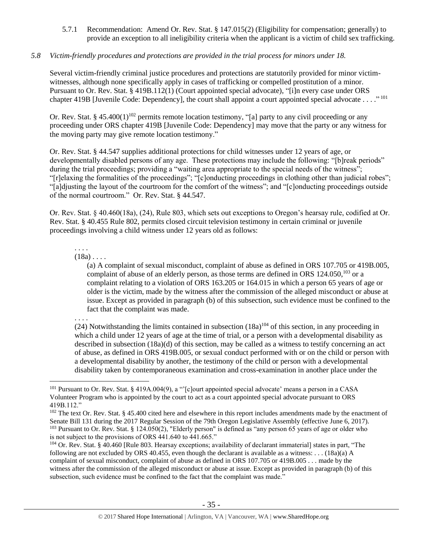5.7.1 Recommendation: Amend Or. Rev. Stat. § 147.015(2) (Eligibility for compensation; generally) to provide an exception to all ineligibility criteria when the applicant is a victim of child sex trafficking.

## *5.8 Victim-friendly procedures and protections are provided in the trial process for minors under 18.*

Several victim-friendly criminal justice procedures and protections are statutorily provided for minor victimwitnesses, although none specifically apply in cases of trafficking or compelled prostitution of a minor. Pursuant to Or. Rev. Stat. § 419B.112(1) (Court appointed special advocate), "[i]n every case under ORS chapter 419B [Juvenile Code: Dependency], the court shall appoint a court appointed special advocate  $\dots$ ."<sup>101</sup>

Or. Rev. Stat. § 45.400(1)<sup>102</sup> permits remote location testimony, "[a] party to any civil proceeding or any proceeding under ORS chapter 419B [Juvenile Code: Dependency] may move that the party or any witness for the moving party may give remote location testimony."

Or. Rev. Stat. § 44.547 supplies additional protections for child witnesses under 12 years of age, or developmentally disabled persons of any age. These protections may include the following: "[b]reak periods" during the trial proceedings; providing a "waiting area appropriate to the special needs of the witness"; "[r]elaxing the formalities of the proceedings"; "[c]onducting proceedings in clothing other than judicial robes"; "[a]djusting the layout of the courtroom for the comfort of the witness"; and "[c]onducting proceedings outside of the normal courtroom." Or. Rev. Stat. § 44.547.

Or. Rev. Stat. § 40.460(18a), (24), Rule 803, which sets out exceptions to Oregon's hearsay rule, codified at Or. Rev. Stat. § 40.455 Rule 802, permits closed circuit television testimony in certain criminal or juvenile proceedings involving a child witness under 12 years old as follows:

. . . .  $(18a) \ldots$ .

> (a) A complaint of sexual misconduct, complaint of abuse as defined in ORS 107.705 or 419B.005, complaint of abuse of an elderly person, as those terms are defined in ORS 124.050,<sup>103</sup> or a complaint relating to a violation of ORS 163.205 or 164.015 in which a person 65 years of age or older is the victim, made by the witness after the commission of the alleged misconduct or abuse at issue. Except as provided in paragraph (b) of this subsection, such evidence must be confined to the fact that the complaint was made.

. . . .

 $\overline{a}$ 

(24) Notwithstanding the limits contained in subsection  $(18a)^{104}$  of this section, in any proceeding in which a child under 12 years of age at the time of trial, or a person with a developmental disability as described in subsection (18a)(d) of this section, may be called as a witness to testify concerning an act of abuse, as defined in ORS 419B.005, or sexual conduct performed with or on the child or person with a developmental disability by another, the testimony of the child or person with a developmental disability taken by contemporaneous examination and cross-examination in another place under the

<sup>&</sup>lt;sup>101</sup> Pursuant to Or. Rev. Stat. § 419A.004(9), a "'[c]ourt appointed special advocate' means a person in a CASA Volunteer Program who is appointed by the court to act as a court appointed special advocate pursuant to ORS 419B.112."

 $102$  The text Or. Rev. Stat. § 45.400 cited here and elsewhere in this report includes amendments made by the enactment of Senate Bill 131 during the 2017 Regular Session of the 79th Oregon Legislative Assembly (effective June 6, 2017). <sup>103</sup> Pursuant to Or. Rev. Stat. § 124.050(2), "Elderly person" is defined as "any person 65 years of age or older who is not subject to the provisions of ORS 441.640 to 441.665."

 $104$  Or. Rev. Stat. § 40.460 [Rule 803. Hearsay exceptions; availability of declarant immaterial] states in part, "The following are not excluded by ORS 40.455, even though the declarant is available as a witness: . . .  $(18a)(a)$  A complaint of sexual misconduct, complaint of abuse as defined in ORS 107.705 or 419B.005 . . . made by the witness after the commission of the alleged misconduct or abuse at issue. Except as provided in paragraph (b) of this subsection, such evidence must be confined to the fact that the complaint was made."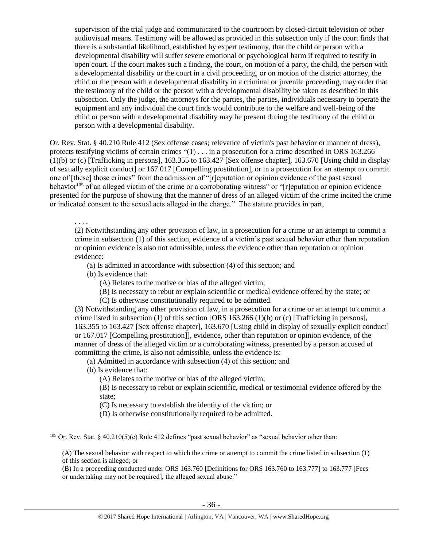supervision of the trial judge and communicated to the courtroom by closed-circuit television or other audiovisual means. Testimony will be allowed as provided in this subsection only if the court finds that there is a substantial likelihood, established by expert testimony, that the child or person with a developmental disability will suffer severe emotional or psychological harm if required to testify in open court. If the court makes such a finding, the court, on motion of a party, the child, the person with a developmental disability or the court in a civil proceeding, or on motion of the district attorney, the child or the person with a developmental disability in a criminal or juvenile proceeding, may order that the testimony of the child or the person with a developmental disability be taken as described in this subsection. Only the judge, the attorneys for the parties, the parties, individuals necessary to operate the equipment and any individual the court finds would contribute to the welfare and well-being of the child or person with a developmental disability may be present during the testimony of the child or person with a developmental disability.

Or. Rev. Stat. § 40.210 Rule 412 (Sex offense cases; relevance of victim's past behavior or manner of dress), protects testifying victims of certain crimes "(1) . . . in a prosecution for a crime described in ORS 163.266 (1)(b) or (c) [Trafficking in persons], 163.355 to 163.427 [Sex offense chapter], 163.670 [Using child in display of sexually explicit conduct] or 167.017 [Compelling prostitution], or in a prosecution for an attempt to commit one of [these] those crimes" from the admission of "[r]eputation or opinion evidence of the past sexual behavior<sup>105</sup> of an alleged victim of the crime or a corroborating witness" or "[r]eputation or opinion evidence presented for the purpose of showing that the manner of dress of an alleged victim of the crime incited the crime or indicated consent to the sexual acts alleged in the charge." The statute provides in part,

#### . . . .

 $\overline{a}$ 

(2) Notwithstanding any other provision of law, in a prosecution for a crime or an attempt to commit a crime in subsection (1) of this section, evidence of a victim's past sexual behavior other than reputation or opinion evidence is also not admissible, unless the evidence other than reputation or opinion evidence:

- (a) Is admitted in accordance with subsection (4) of this section; and
- (b) Is evidence that:
	- (A) Relates to the motive or bias of the alleged victim;
	- (B) Is necessary to rebut or explain scientific or medical evidence offered by the state; or
	- (C) Is otherwise constitutionally required to be admitted.

(3) Notwithstanding any other provision of law, in a prosecution for a crime or an attempt to commit a crime listed in subsection (1) of this section [ORS 163.266 (1)(b) or (c) [Trafficking in persons], 163.355 to 163.427 [Sex offense chapter], 163.670 [Using child in display of sexually explicit conduct] or 167.017 [Compelling prostitution]], evidence, other than reputation or opinion evidence, of the manner of dress of the alleged victim or a corroborating witness, presented by a person accused of committing the crime, is also not admissible, unless the evidence is:

- (a) Admitted in accordance with subsection (4) of this section; and
- (b) Is evidence that:

(A) Relates to the motive or bias of the alleged victim;

(B) Is necessary to rebut or explain scientific, medical or testimonial evidence offered by the state;

- (C) Is necessary to establish the identity of the victim; or
- (D) Is otherwise constitutionally required to be admitted.

<sup>&</sup>lt;sup>105</sup> Or. Rev. Stat. § 40.210(5)(c) Rule 412 defines "past sexual behavior" as "sexual behavior other than:

<sup>(</sup>A) The sexual behavior with respect to which the crime or attempt to commit the crime listed in subsection (1) of this section is alleged; or

<sup>(</sup>B) In a proceeding conducted under ORS 163.760 [Definitions for ORS 163.760 to 163.777] to 163.777 [Fees or undertaking may not be required], the alleged sexual abuse."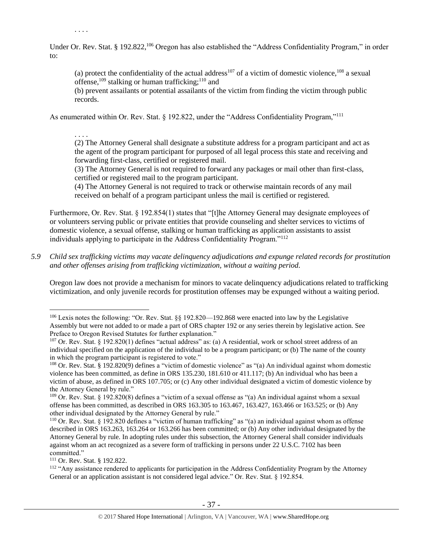. . . .

 $\overline{a}$ 

Under Or. Rev. Stat. § 192.822,<sup>106</sup> Oregon has also established the "Address Confidentiality Program," in order to:

(a) protect the confidentiality of the actual address<sup>107</sup> of a victim of domestic violence,<sup>108</sup> a sexual offense,<sup>109</sup> stalking or human trafficking;<sup>110</sup> and

(b) prevent assailants or potential assailants of the victim from finding the victim through public records.

As enumerated within Or. Rev. Stat. § 192.822, under the "Address Confidentiality Program,"<sup>111</sup>

(2) The Attorney General shall designate a substitute address for a program participant and act as the agent of the program participant for purposed of all legal process this state and receiving and forwarding first-class, certified or registered mail.

(3) The Attorney General is not required to forward any packages or mail other than first-class, certified or registered mail to the program participant.

(4) The Attorney General is not required to track or otherwise maintain records of any mail received on behalf of a program participant unless the mail is certified or registered.

Furthermore, Or. Rev. Stat. § 192.854(1) states that "[t]he Attorney General may designate employees of or volunteers serving public or private entities that provide counseling and shelter services to victims of domestic violence, a sexual offense, stalking or human trafficking as application assistants to assist individuals applying to participate in the Address Confidentiality Program."<sup>112</sup>

*5.9 Child sex trafficking victims may vacate delinquency adjudications and expunge related records for prostitution and other offenses arising from trafficking victimization, without a waiting period.*

Oregon law does not provide a mechanism for minors to vacate delinquency adjudications related to trafficking victimization, and only juvenile records for prostitution offenses may be expunged without a waiting period.

<sup>106</sup> Lexis notes the following: "Or. Rev. Stat. §§ 192.820—192.868 were enacted into law by the Legislative Assembly but were not added to or made a part of ORS chapter 192 or any series therein by legislative action. See Preface to Oregon Revised Statutes for further explanation."

<sup>107</sup> Or. Rev. Stat. § 192.820(1) defines "actual address" as: (a) A residential, work or school street address of an individual specified on the application of the individual to be a program participant; or (b) The name of the county in which the program participant is registered to vote."

<sup>108</sup> Or. Rev. Stat. § 192.820(9) defines a "victim of domestic violence" as "(a) An individual against whom domestic violence has been committed, as define in ORS 135.230, 181.610 or 411.117; (b) An individual who has been a victim of abuse, as defined in ORS 107.705; or (c) Any other individual designated a victim of domestic violence by the Attorney General by rule."

<sup>109</sup> Or. Rev. Stat. § 192.820(8) defines a "victim of a sexual offense as "(a) An individual against whom a sexual offense has been committed, as described in ORS 163.305 to 163.467, 163.427, 163.466 or 163.525; or (b) Any other individual designated by the Attorney General by rule."

<sup>&</sup>lt;sup>110</sup> Or. Rev. Stat. § 192.820 defines a "victim of human trafficking" as "(a) an individual against whom as offense described in ORS 163.263, 163.264 or 163.266 has been committed; or (b) Any other individual designated by the Attorney General by rule. In adopting rules under this subsection, the Attorney General shall consider individuals against whom an act recognized as a severe form of trafficking in persons under 22 U.S.C. 7102 has been committed."

<sup>111</sup> Or. Rev. Stat. § 192.822.

<sup>&</sup>lt;sup>112</sup> "Any assistance rendered to applicants for participation in the Address Confidentiality Program by the Attorney General or an application assistant is not considered legal advice." Or. Rev. Stat. § 192.854.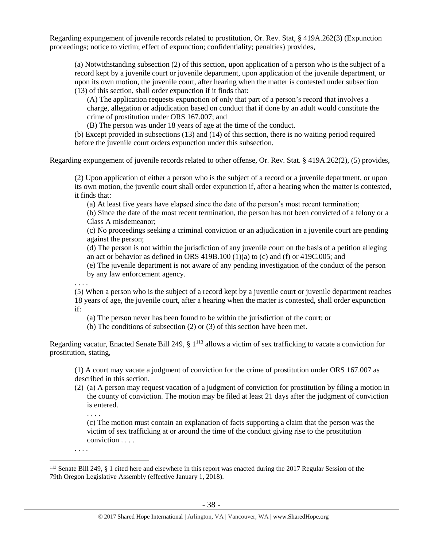Regarding expungement of juvenile records related to prostitution, Or. Rev. Stat, § 419A.262(3) (Expunction proceedings; notice to victim; effect of expunction; confidentiality; penalties) provides,

(a) Notwithstanding subsection (2) of this section, upon application of a person who is the subject of a record kept by a juvenile court or juvenile department, upon application of the juvenile department, or upon its own motion, the juvenile court, after hearing when the matter is contested under subsection (13) of this section, shall order expunction if it finds that:

(A) The application requests expunction of only that part of a person's record that involves a charge, allegation or adjudication based on conduct that if done by an adult would constitute the crime of prostitution under ORS 167.007; and

(B) The person was under 18 years of age at the time of the conduct.

(b) Except provided in subsections (13) and (14) of this section, there is no waiting period required before the juvenile court orders expunction under this subsection.

Regarding expungement of juvenile records related to other offense, Or. Rev. Stat. § 419A.262(2), (5) provides,

(2) Upon application of either a person who is the subject of a record or a juvenile department, or upon its own motion, the juvenile court shall order expunction if, after a hearing when the matter is contested, it finds that:

(a) At least five years have elapsed since the date of the person's most recent termination;

(b) Since the date of the most recent termination, the person has not been convicted of a felony or a Class A misdemeanor;

(c) No proceedings seeking a criminal conviction or an adjudication in a juvenile court are pending against the person;

(d) The person is not within the jurisdiction of any juvenile court on the basis of a petition alleging an act or behavior as defined in ORS 419B.100 (1)(a) to (c) and (f) or 419C.005; and

(e) The juvenile department is not aware of any pending investigation of the conduct of the person by any law enforcement agency.

. . . .

(5) When a person who is the subject of a record kept by a juvenile court or juvenile department reaches 18 years of age, the juvenile court, after a hearing when the matter is contested, shall order expunction if:

(a) The person never has been found to be within the jurisdiction of the court; or

(b) The conditions of subsection (2) or (3) of this section have been met.

Regarding vacatur, Enacted Senate Bill 249,  $\S$  1<sup>113</sup> allows a victim of sex trafficking to vacate a conviction for prostitution, stating,

(1) A court may vacate a judgment of conviction for the crime of prostitution under ORS 167.007 as described in this section.

- (2) (a) A person may request vacation of a judgment of conviction for prostitution by filing a motion in the county of conviction. The motion may be filed at least 21 days after the judgment of conviction is entered.
	- . . . .

. . . .

 $\overline{a}$ 

(c) The motion must contain an explanation of facts supporting a claim that the person was the victim of sex trafficking at or around the time of the conduct giving rise to the prostitution conviction . . . .

<sup>113</sup> Senate Bill 249, § 1 cited here and elsewhere in this report was enacted during the 2017 Regular Session of the 79th Oregon Legislative Assembly (effective January 1, 2018).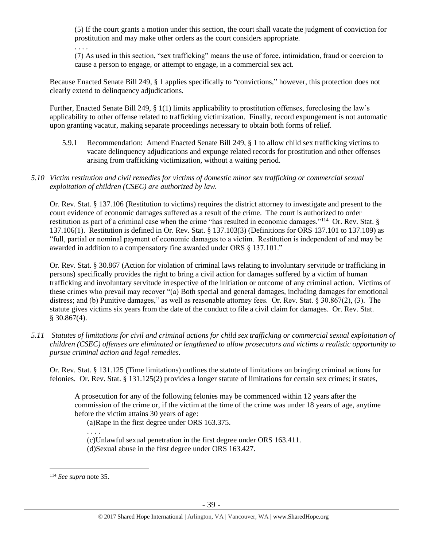(5) If the court grants a motion under this section, the court shall vacate the judgment of conviction for prostitution and may make other orders as the court considers appropriate.

(7) As used in this section, "sex trafficking" means the use of force, intimidation, fraud or coercion to cause a person to engage, or attempt to engage, in a commercial sex act.

Because Enacted Senate Bill 249, § 1 applies specifically to "convictions," however, this protection does not clearly extend to delinquency adjudications.

Further, Enacted Senate Bill 249, § 1(1) limits applicability to prostitution offenses, foreclosing the law's applicability to other offense related to trafficking victimization. Finally, record expungement is not automatic upon granting vacatur, making separate proceedings necessary to obtain both forms of relief.

- 5.9.1 Recommendation: Amend Enacted Senate Bill 249, § 1 to allow child sex trafficking victims to vacate delinquency adjudications and expunge related records for prostitution and other offenses arising from trafficking victimization, without a waiting period.
- *5.10 Victim restitution and civil remedies for victims of domestic minor sex trafficking or commercial sexual exploitation of children (CSEC) are authorized by law.*

Or. Rev. Stat. § 137.106 (Restitution to victims) requires the district attorney to investigate and present to the court evidence of economic damages suffered as a result of the crime. The court is authorized to order restitution as part of a criminal case when the crime "has resulted in economic damages."<sup>114</sup> Or. Rev. Stat. § 137.106(1). Restitution is defined in Or. Rev. Stat. § 137.103(3) (Definitions for ORS 137.101 to 137.109) as "full, partial or nominal payment of economic damages to a victim. Restitution is independent of and may be awarded in addition to a compensatory fine awarded under ORS § 137.101."

Or. Rev. Stat. § 30.867 (Action for violation of criminal laws relating to involuntary servitude or trafficking in persons) specifically provides the right to bring a civil action for damages suffered by a victim of human trafficking and involuntary servitude irrespective of the initiation or outcome of any criminal action. Victims of these crimes who prevail may recover "(a) Both special and general damages, including damages for emotional distress; and (b) Punitive damages," as well as reasonable attorney fees. Or. Rev. Stat. § 30.867(2), (3). The statute gives victims six years from the date of the conduct to file a civil claim for damages. Or. Rev. Stat.  $§$  30.867(4).

*5.11 Statutes of limitations for civil and criminal actions for child sex trafficking or commercial sexual exploitation of children (CSEC) offenses are eliminated or lengthened to allow prosecutors and victims a realistic opportunity to pursue criminal action and legal remedies.*

Or. Rev. Stat. § 131.125 (Time limitations) outlines the statute of limitations on bringing criminal actions for felonies. Or. Rev. Stat. § 131.125(2) provides a longer statute of limitations for certain sex crimes; it states,

A prosecution for any of the following felonies may be commenced within 12 years after the commission of the crime or, if the victim at the time of the crime was under 18 years of age, anytime before the victim attains 30 years of age:

(a)Rape in the first degree under ORS 163.375.

(c)Unlawful sexual penetration in the first degree under ORS 163.411. (d)Sexual abuse in the first degree under ORS 163.427.

 $\overline{a}$ 

. . . .

. . . .

<sup>114</sup> *See supra* not[e 35.](#page-14-1)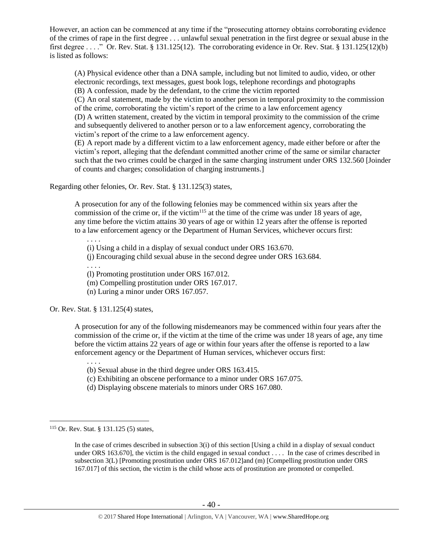However, an action can be commenced at any time if the "prosecuting attorney obtains corroborating evidence of the crimes of rape in the first degree . . . unlawful sexual penetration in the first degree or sexual abuse in the first degree . . . ." Or. Rev. Stat. § 131.125(12). The corroborating evidence in Or. Rev. Stat. § 131.125(12)(b) is listed as follows:

(A) Physical evidence other than a DNA sample, including but not limited to audio, video, or other electronic recordings, text messages, guest book logs, telephone recordings and photographs (B) A confession, made by the defendant, to the crime the victim reported

(C) An oral statement, made by the victim to another person in temporal proximity to the commission of the crime, corroborating the victim's report of the crime to a law enforcement agency

(D) A written statement, created by the victim in temporal proximity to the commission of the crime and subsequently delivered to another person or to a law enforcement agency, corroborating the victim's report of the crime to a law enforcement agency.

(E) A report made by a different victim to a law enforcement agency, made either before or after the victim's report, alleging that the defendant committed another crime of the same or similar character such that the two crimes could be charged in the same charging instrument under ORS 132.560 [Joinder of counts and charges; consolidation of charging instruments.]

Regarding other felonies, Or. Rev. Stat. § 131.125(3) states,

A prosecution for any of the following felonies may be commenced within six years after the commission of the crime or, if the victim<sup>115</sup> at the time of the crime was under 18 years of age, any time before the victim attains 30 years of age or within 12 years after the offense is reported to a law enforcement agency or the Department of Human Services, whichever occurs first:

. . . .

. . . .

(i) Using a child in a display of sexual conduct under ORS 163.670.

(j) Encouraging child sexual abuse in the second degree under ORS 163.684.

(l) Promoting prostitution under ORS 167.012.

(m) Compelling prostitution under ORS 167.017.

(n) Luring a minor under ORS 167.057.

Or. Rev. Stat. § 131.125(4) states,

. . . .

A prosecution for any of the following misdemeanors may be commenced within four years after the commission of the crime or, if the victim at the time of the crime was under 18 years of age, any time before the victim attains 22 years of age or within four years after the offense is reported to a law enforcement agency or the Department of Human services, whichever occurs first:

(b) Sexual abuse in the third degree under ORS 163.415.

(c) Exhibiting an obscene performance to a minor under ORS 167.075.

(d) Displaying obscene materials to minors under ORS 167.080.

 $\overline{a}$ 

In the case of crimes described in subsection 3(i) of this section [Using a child in a display of sexual conduct under ORS 163.670], the victim is the child engaged in sexual conduct . . . . In the case of crimes described in subsection 3(L) [Promoting prostitution under ORS 167.012]and (m) [Compelling prostitution under ORS 167.017] of this section, the victim is the child whose acts of prostitution are promoted or compelled.

<sup>115</sup> Or. Rev. Stat. § 131.125 (5) states,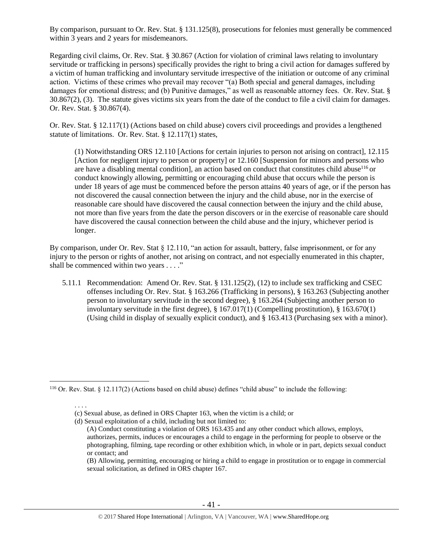By comparison, pursuant to Or. Rev. Stat. § 131.125(8), prosecutions for felonies must generally be commenced within 3 years and 2 years for misdemeanors.

Regarding civil claims, Or. Rev. Stat. § 30.867 (Action for violation of criminal laws relating to involuntary servitude or trafficking in persons) specifically provides the right to bring a civil action for damages suffered by a victim of human trafficking and involuntary servitude irrespective of the initiation or outcome of any criminal action. Victims of these crimes who prevail may recover "(a) Both special and general damages, including damages for emotional distress; and (b) Punitive damages," as well as reasonable attorney fees. Or. Rev. Stat. § 30.867(2), (3). The statute gives victims six years from the date of the conduct to file a civil claim for damages. Or. Rev. Stat. § 30.867(4).

Or. Rev. Stat. § 12.117(1) (Actions based on child abuse) covers civil proceedings and provides a lengthened statute of limitations. Or. Rev. Stat. § 12.117(1) states,

(1) Notwithstanding ORS 12.110 [Actions for certain injuries to person not arising on contract], 12.115 [Action for negligent injury to person or property] or 12.160 [Suspension for minors and persons who are have a disabling mental condition], an action based on conduct that constitutes child abuse<sup>116</sup> or conduct knowingly allowing, permitting or encouraging child abuse that occurs while the person is under 18 years of age must be commenced before the person attains 40 years of age, or if the person has not discovered the causal connection between the injury and the child abuse, nor in the exercise of reasonable care should have discovered the causal connection between the injury and the child abuse, not more than five years from the date the person discovers or in the exercise of reasonable care should have discovered the causal connection between the child abuse and the injury, whichever period is longer.

By comparison, under Or. Rev. Stat § 12.110, "an action for assault, battery, false imprisonment, or for any injury to the person or rights of another, not arising on contract, and not especially enumerated in this chapter, shall be commenced within two years . . . ."

5.11.1 Recommendation: Amend Or. Rev. Stat. § 131.125(2), (12) to include sex trafficking and CSEC offenses including Or. Rev. Stat. § 163.266 (Trafficking in persons), § 163.263 (Subjecting another person to involuntary servitude in the second degree), § 163.264 (Subjecting another person to involuntary servitude in the first degree),  $\S 167.017(1)$  (Compelling prostitution),  $\S 163.670(1)$ (Using child in display of sexually explicit conduct), and § 163.413 (Purchasing sex with a minor).

 $\overline{a}$ 

. . . .

<sup>116</sup> Or. Rev. Stat. § 12.117(2) (Actions based on child abuse) defines "child abuse" to include the following:

<sup>(</sup>c) Sexual abuse, as defined in ORS Chapter 163, when the victim is a child; or

<sup>(</sup>d) Sexual exploitation of a child, including but not limited to:

<sup>(</sup>A) Conduct constituting a violation of ORS 163.435 and any other conduct which allows, employs, authorizes, permits, induces or encourages a child to engage in the performing for people to observe or the photographing, filming, tape recording or other exhibition which, in whole or in part, depicts sexual conduct or contact; and

<sup>(</sup>B) Allowing, permitting, encouraging or hiring a child to engage in prostitution or to engage in commercial sexual solicitation, as defined in ORS chapter 167.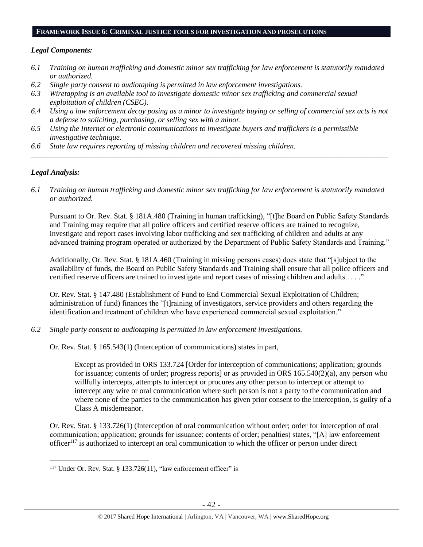#### **FRAMEWORK ISSUE 6: CRIMINAL JUSTICE TOOLS FOR INVESTIGATION AND PROSECUTIONS**

## *Legal Components:*

- *6.1 Training on human trafficking and domestic minor sex trafficking for law enforcement is statutorily mandated or authorized.*
- *6.2 Single party consent to audiotaping is permitted in law enforcement investigations.*
- *6.3 Wiretapping is an available tool to investigate domestic minor sex trafficking and commercial sexual exploitation of children (CSEC).*
- *6.4 Using a law enforcement decoy posing as a minor to investigate buying or selling of commercial sex acts is not a defense to soliciting, purchasing, or selling sex with a minor.*

*\_\_\_\_\_\_\_\_\_\_\_\_\_\_\_\_\_\_\_\_\_\_\_\_\_\_\_\_\_\_\_\_\_\_\_\_\_\_\_\_\_\_\_\_\_\_\_\_\_\_\_\_\_\_\_\_\_\_\_\_\_\_\_\_\_\_\_\_\_\_\_\_\_\_\_\_\_\_\_\_\_\_\_\_\_\_\_\_\_\_\_\_\_\_*

- *6.5 Using the Internet or electronic communications to investigate buyers and traffickers is a permissible investigative technique.*
- *6.6 State law requires reporting of missing children and recovered missing children.*

## *Legal Analysis:*

*6.1 Training on human trafficking and domestic minor sex trafficking for law enforcement is statutorily mandated or authorized.*

Pursuant to Or. Rev. Stat. § 181A.480 (Training in human trafficking), "[t]he Board on Public Safety Standards and Training may require that all police officers and certified reserve officers are trained to recognize, investigate and report cases involving labor trafficking and sex trafficking of children and adults at any advanced training program operated or authorized by the Department of Public Safety Standards and Training."

Additionally, Or. Rev. Stat. § 181A.460 (Training in missing persons cases) does state that "[s]ubject to the availability of funds, the Board on Public Safety Standards and Training shall ensure that all police officers and certified reserve officers are trained to investigate and report cases of missing children and adults . . . ."

Or. Rev. Stat. § 147.480 (Establishment of Fund to End Commercial Sexual Exploitation of Children; administration of fund) finances the "[t]raining of investigators, service providers and others regarding the identification and treatment of children who have experienced commercial sexual exploitation."

*6.2 Single party consent to audiotaping is permitted in law enforcement investigations.*

Or. Rev. Stat. § 165.543(1) (Interception of communications) states in part,

Except as provided in ORS 133.724 [Order for interception of communications; application; grounds for issuance; contents of order; progress reports] or as provided in ORS 165.540(2)(a), any person who willfully intercepts, attempts to intercept or procures any other person to intercept or attempt to intercept any wire or oral communication where such person is not a party to the communication and where none of the parties to the communication has given prior consent to the interception, is guilty of a Class A misdemeanor.

Or. Rev. Stat. § 133.726(1) (Interception of oral communication without order; order for interception of oral communication; application; grounds for issuance; contents of order; penalties) states, "[A] law enforcement officer<sup>117</sup> is authorized to intercept an oral communication to which the officer or person under direct

 $\overline{a}$ <sup>117</sup> Under Or. Rev. Stat. § 133.726(11), "law enforcement officer" is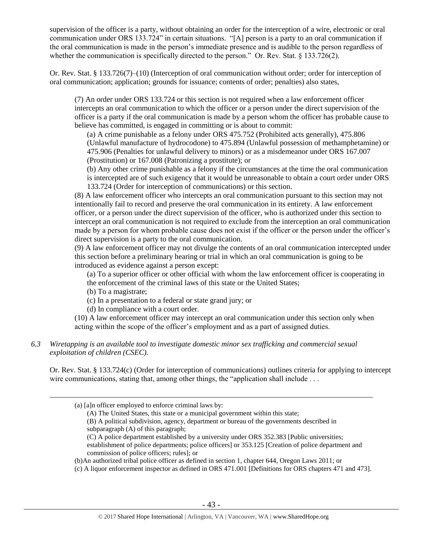supervision of the officer is a party, without obtaining an order for the interception of a wire, electronic or oral communication under ORS 133.724" in certain situations. "[A] person is a party to an oral communication if the oral communication is made in the person's immediate presence and is audible to the person regardless of whether the communication is specifically directed to the person." Or. Rev. Stat. § 133.726(2).

Or. Rev. Stat. § 133.726(7)–(10) (Interception of oral communication without order; order for interception of oral communication; application; grounds for issuance; contents of order; penalties) also states,

(7) An order under ORS 133.724 or this section is not required when a law enforcement officer intercepts an oral communication to which the officer or a person under the direct supervision of the officer is a party if the oral communication is made by a person whom the officer has probable cause to believe has committed, is engaged in committing or is about to commit:

(a) A crime punishable as a felony under ORS 475.752 (Prohibited acts generally), 475.806 (Unlawful manufacture of hydrocodone) to 475.894 (Unlawful possession of methamphetamine) or 475.906 (Penalties for unlawful delivery to minors) or as a misdemeanor under ORS 167.007 (Prostitution) or 167.008 (Patronizing a prostitute); or

(b) Any other crime punishable as a felony if the circumstances at the time the oral communication is intercepted are of such exigency that it would be unreasonable to obtain a court order under ORS 133.724 (Order for interception of communications) or this section.

(8) A law enforcement officer who intercepts an oral communication pursuant to this section may not intentionally fail to record and preserve the oral communication in its entirety. A law enforcement officer, or a person under the direct supervision of the officer, who is authorized under this section to intercept an oral communication is not required to exclude from the interception an oral communication made by a person for whom probable cause does not exist if the officer or the person under the officer's direct supervision is a party to the oral communication.

(9) A law enforcement officer may not divulge the contents of an oral communication intercepted under this section before a preliminary hearing or trial in which an oral communication is going to be introduced as evidence against a person except:

(a) To a superior officer or other official with whom the law enforcement officer is cooperating in the enforcement of the criminal laws of this state or the United States;

(b) To a magistrate;

 $\overline{a}$ 

- (c) In a presentation to a federal or state grand jury; or
- (d) In compliance with a court order.

(10) A law enforcement officer may intercept an oral communication under this section only when acting within the scope of the officer's employment and as a part of assigned duties.

# *6.3 Wiretapping is an available tool to investigate domestic minor sex trafficking and commercial sexual exploitation of children (CSEC).*

Or. Rev. Stat. § 133.724(c) (Order for interception of communications) outlines criteria for applying to intercept wire communications, stating that, among other things, the "application shall include ...

- (B) A political subdivision, agency, department or bureau of the governments described in subparagraph (A) of this paragraph;
- (C) A police department established by a university under ORS 352.383 [Public universities; establishment of police departments; police officers] or 353.125 [Creation of police department and commission of police officers; rules]; or

(b)An authorized tribal police officer as defined in section 1, chapter 644, Oregon Laws 2011; or

(c) A liquor enforcement inspector as defined in ORS 471.001 [Definitions for ORS chapters 471 and 473].

<sup>(</sup>a) [a]n officer employed to enforce criminal laws by:

<sup>(</sup>A) The United States, this state or a municipal government within this state;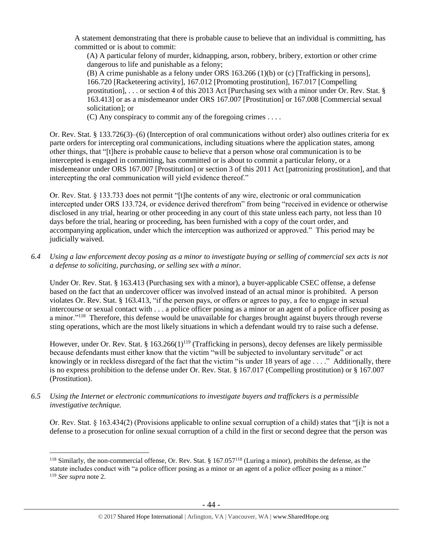A statement demonstrating that there is probable cause to believe that an individual is committing, has committed or is about to commit:

(A) A particular felony of murder, kidnapping, arson, robbery, bribery, extortion or other crime dangerous to life and punishable as a felony;

(B) A crime punishable as a felony under ORS 163.266 (1)(b) or (c) [Trafficking in persons], 166.720 [Racketeering activity], 167.012 [Promoting prostitution], 167.017 [Compelling prostitution], . . . or section 4 of this 2013 Act [Purchasing sex with a minor under Or. Rev. Stat. § 163.413] or as a misdemeanor under ORS 167.007 [Prostitution] or 167.008 [Commercial sexual solicitation]; or

(C) Any conspiracy to commit any of the foregoing crimes . . . .

Or. Rev. Stat. § 133.726(3)–(6) (Interception of oral communications without order) also outlines criteria for ex parte orders for intercepting oral communications, including situations where the application states, among other things, that "[t]here is probable cause to believe that a person whose oral communication is to be intercepted is engaged in committing, has committed or is about to commit a particular felony, or a misdemeanor under ORS 167.007 [Prostitution] or section 3 of this 2011 Act [patronizing prostitution], and that intercepting the oral communication will yield evidence thereof."

Or. Rev. Stat. § 133.733 does not permit "[t]he contents of any wire, electronic or oral communication intercepted under ORS 133.724, or evidence derived therefrom" from being "received in evidence or otherwise disclosed in any trial, hearing or other proceeding in any court of this state unless each party, not less than 10 days before the trial, hearing or proceeding, has been furnished with a copy of the court order, and accompanying application, under which the interception was authorized or approved." This period may be judicially waived.

*6.4 Using a law enforcement decoy posing as a minor to investigate buying or selling of commercial sex acts is not a defense to soliciting, purchasing, or selling sex with a minor.*

Under Or. Rev. Stat. § 163.413 (Purchasing sex with a minor), a buyer-applicable CSEC offense, a defense based on the fact that an undercover officer was involved instead of an actual minor is prohibited. A person violates Or. Rev. Stat. § 163.413, "if the person pays, or offers or agrees to pay, a fee to engage in sexual intercourse or sexual contact with . . . a police officer posing as a minor or an agent of a police officer posing as a minor."<sup>118</sup> Therefore, this defense would be unavailable for charges brought against buyers through reverse sting operations, which are the most likely situations in which a defendant would try to raise such a defense.

However, under Or. Rev. Stat. § 163.266(1)<sup>119</sup> (Trafficking in persons), decoy defenses are likely permissible because defendants must either know that the victim "will be subjected to involuntary servitude" or act knowingly or in reckless disregard of the fact that the victim "is under 18 years of age . . . ." Additionally, there is no express prohibition to the defense under Or. Rev. Stat. § 167.017 (Compelling prostitution) or § 167.007 (Prostitution).

*6.5 Using the Internet or electronic communications to investigate buyers and traffickers is a permissible investigative technique.*

 $\overline{a}$ 

Or. Rev. Stat. § 163.434(2) (Provisions applicable to online sexual corruption of a child) states that "[i]t is not a defense to a prosecution for online sexual corruption of a child in the first or second degree that the person was

<sup>&</sup>lt;sup>118</sup> Similarly, the non-commercial offense, Or. Rev. Stat. § 167.057<sup>118</sup> (Luring a minor), prohibits the defense, as the statute includes conduct with "a police officer posing as a minor or an agent of a police officer posing as a minor." <sup>119</sup> *See supra* not[e 2.](#page-0-0)